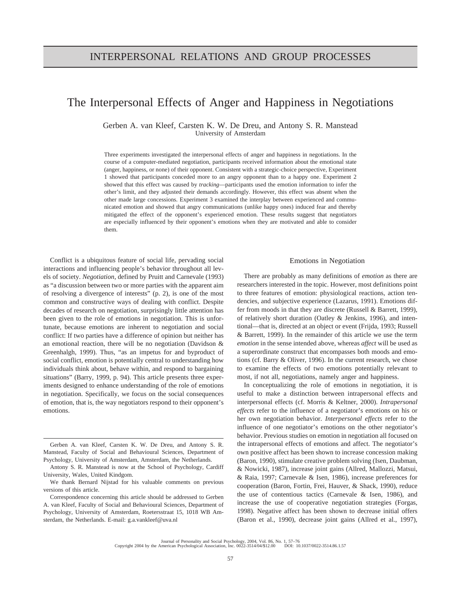# The Interpersonal Effects of Anger and Happiness in Negotiations

Gerben A. van Kleef, Carsten K. W. De Dreu, and Antony S. R. Manstead University of Amsterdam

Three experiments investigated the interpersonal effects of anger and happiness in negotiations. In the course of a computer-mediated negotiation, participants received information about the emotional state (anger, happiness, or none) of their opponent. Consistent with a strategic-choice perspective, Experiment 1 showed that participants conceded more to an angry opponent than to a happy one. Experiment 2 showed that this effect was caused by *tracking*—participants used the emotion information to infer the other's limit, and they adjusted their demands accordingly. However, this effect was absent when the other made large concessions. Experiment 3 examined the interplay between experienced and communicated emotion and showed that angry communications (unlike happy ones) induced fear and thereby mitigated the effect of the opponent's experienced emotion. These results suggest that negotiators are especially influenced by their opponent's emotions when they are motivated and able to consider them.

Conflict is a ubiquitous feature of social life, pervading social interactions and influencing people's behavior throughout all levels of society. *Negotiation*, defined by Pruitt and Carnevale (1993) as "a discussion between two or more parties with the apparent aim of resolving a divergence of interests" (p. 2), is one of the most common and constructive ways of dealing with conflict. Despite decades of research on negotiation, surprisingly little attention has been given to the role of emotions in negotiation. This is unfortunate, because emotions are inherent to negotiation and social conflict: If two parties have a difference of opinion but neither has an emotional reaction, there will be no negotiation (Davidson & Greenhalgh, 1999). Thus, "as an impetus for and byproduct of social conflict, emotion is potentially central to understanding how individuals think about, behave within, and respond to bargaining situations" (Barry, 1999, p. 94). This article presents three experiments designed to enhance understanding of the role of emotions in negotiation. Specifically, we focus on the social consequences of emotion, that is, the way negotiators respond to their opponent's emotions.

# Emotions in Negotiation

There are probably as many definitions of *emotion* as there are researchers interested in the topic. However, most definitions point to three features of emotion: physiological reactions, action tendencies, and subjective experience (Lazarus, 1991). Emotions differ from moods in that they are discrete (Russell & Barrett, 1999), of relatively short duration (Oatley & Jenkins, 1996), and intentional—that is, directed at an object or event (Frijda, 1993; Russell & Barrett, 1999). In the remainder of this article we use the term *emotion* in the sense intended above, whereas *affect* will be used as a superordinate construct that encompasses both moods and emotions (cf. Barry & Oliver, 1996). In the current research, we chose to examine the effects of two emotions potentially relevant to most, if not all, negotiations, namely anger and happiness.

In conceptualizing the role of emotions in negotiation, it is useful to make a distinction between intrapersonal effects and interpersonal effects (cf. Morris & Keltner, 2000). *Intrapersonal effects* refer to the influence of a negotiator's emotions on his or her own negotiation behavior. *Interpersonal effects* refer to the influence of one negotiator's emotions on the other negotiator's behavior. Previous studies on emotion in negotiation all focused on the intrapersonal effects of emotions and affect. The negotiator's own positive affect has been shown to increase concession making (Baron, 1990), stimulate creative problem solving (Isen, Daubman, & Nowicki, 1987), increase joint gains (Allred, Mallozzi, Matsui, & Raia, 1997; Carnevale & Isen, 1986), increase preferences for cooperation (Baron, Fortin, Frei, Hauver, & Shack, 1990), reduce the use of contentious tactics (Carnevale & Isen, 1986), and increase the use of cooperative negotiation strategies (Forgas, 1998). Negative affect has been shown to decrease initial offers (Baron et al., 1990), decrease joint gains (Allred et al., 1997),

Gerben A. van Kleef, Carsten K. W. De Dreu, and Antony S. R. Manstead, Faculty of Social and Behavioural Sciences, Department of Psychology, University of Amsterdam, Amsterdam, the Netherlands.

Antony S. R. Manstead is now at the School of Psychology, Cardiff University, Wales, United Kindgom.

We thank Bernard Nijstad for his valuable comments on previous versions of this article.

Correspondence concerning this article should be addressed to Gerben A. van Kleef, Faculty of Social and Behavioural Sciences, Department of Psychology, University of Amsterdam, Roetersstraat 15, 1018 WB Amsterdam, the Netherlands. E-mail: g.a.vankleef@uva.nl

Journal of Personality and Social Psychology, 2004, Vol. 86, No. 1, 57–76 Copyright 2004 by the American Psychological Association, Inc. 0022-3514/04/\$12.00 DOI: 10.1037/0022-3514.86.1.57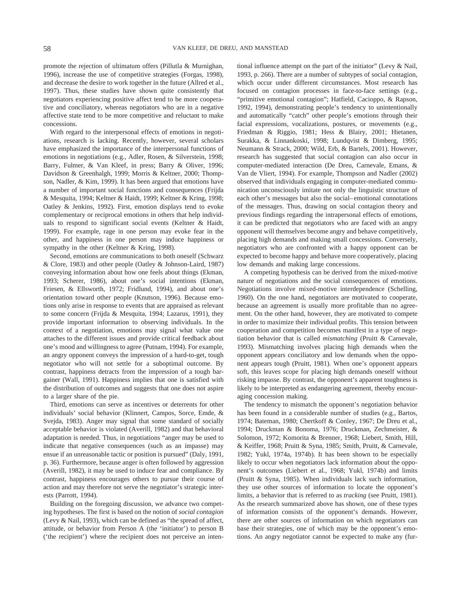promote the rejection of ultimatum offers (Pillutla & Murnighan, 1996), increase the use of competitive strategies (Forgas, 1998), and decrease the desire to work together in the future (Allred et al., 1997). Thus, these studies have shown quite consistently that negotiators experiencing positive affect tend to be more cooperative and conciliatory, whereas negotiators who are in a negative affective state tend to be more competitive and reluctant to make concessions.

With regard to the interpersonal effects of emotions in negotiations, research is lacking. Recently, however, several scholars have emphasized the importance of the interpersonal functions of emotions in negotiations (e.g., Adler, Rosen, & Silverstein, 1998; Barry, Fulmer, & Van Kleef, in press; Barry & Oliver, 1996; Davidson & Greenhalgh, 1999; Morris & Keltner, 2000; Thompson, Nadler, & Kim, 1999). It has been argued that emotions have a number of important social functions and consequences (Frijda & Mesquita, 1994; Keltner & Haidt, 1999; Keltner & Kring, 1998; Oatley & Jenkins, 1992). First, emotion displays tend to evoke complementary or reciprocal emotions in others that help individuals to respond to significant social events (Keltner & Haidt, 1999). For example, rage in one person may evoke fear in the other, and happiness in one person may induce happiness or sympathy in the other (Keltner & Kring, 1998).

Second, emotions are communications to both oneself (Schwarz & Clore, 1983) and other people (Oatley & Johnson-Laird, 1987) conveying information about how one feels about things (Ekman, 1993; Scherer, 1986), about one's social intentions (Ekman, Friesen, & Ellsworth, 1972; Fridlund, 1994), and about one's orientation toward other people (Knutson, 1996). Because emotions only arise in response to events that are appraised as relevant to some concern (Frijda & Mesquita, 1994; Lazarus, 1991), they provide important information to observing individuals. In the context of a negotiation, emotions may signal what value one attaches to the different issues and provide critical feedback about one's mood and willingness to agree (Putnam, 1994). For example, an angry opponent conveys the impression of a hard-to-get, tough negotiator who will not settle for a suboptimal outcome. By contrast, happiness detracts from the impression of a tough bargainer (Wall, 1991). Happiness implies that one is satisfied with the distribution of outcomes and suggests that one does not aspire to a larger share of the pie.

Third, emotions can serve as incentives or deterrents for other individuals' social behavior (Klinnert, Campos, Sorce, Emde, & Svejda, 1983). Anger may signal that some standard of socially acceptable behavior is violated (Averill, 1982) and that behavioral adaptation is needed. Thus, in negotiations "anger may be used to indicate that negative consequences (such as an impasse) may ensue if an unreasonable tactic or position is pursued" (Daly, 1991, p. 36). Furthermore, because anger is often followed by aggression (Averill, 1982), it may be used to induce fear and compliance. By contrast, happiness encourages others to pursue their course of action and may therefore not serve the negotiator's strategic interests (Parrott, 1994).

Building on the foregoing discussion, we advance two competing hypotheses. The first is based on the notion of *social contagion* (Levy & Nail, 1993), which can be defined as "the spread of affect, attitude, or behavior from Person A (the 'initiator') to person B ('the recipient') where the recipient does not perceive an intentional influence attempt on the part of the initiator" (Levy & Nail, 1993, p. 266). There are a number of subtypes of social contagion, which occur under different circumstances. Most research has focused on contagion processes in face-to-face settings (e.g., "primitive emotional contagion"; Hatfield, Cacioppo, & Rapson, 1992, 1994), demonstrating people's tendency to unintentionally and automatically "catch" other people's emotions through their facial expressions, vocalizations, postures, or movements (e.g., Friedman & Riggio, 1981; Hess & Blairy, 2001; Hietanen, Surakka, & Linnankoski, 1998; Lundqvist & Dimberg, 1995; Neumann & Strack, 2000; Wild, Erb, & Bartels, 2001). However, research has suggested that social contagion can also occur in computer-mediated interaction (De Dreu, Carnevale, Emans, & Van de Vliert, 1994). For example, Thompson and Nadler (2002) observed that individuals engaging in computer-mediated communication unconsciously imitate not only the linguistic structure of each other's messages but also the social–emotional connotations of the messages. Thus, drawing on social contagion theory and previous findings regarding the intrapersonal effects of emotions, it can be predicted that negotiators who are faced with an angry opponent will themselves become angry and behave competitively, placing high demands and making small concessions. Conversely, negotiators who are confronted with a happy opponent can be expected to become happy and behave more cooperatively, placing low demands and making large concessions.

A competing hypothesis can be derived from the mixed-motive nature of negotiations and the social consequences of emotions. Negotiations involve mixed-motive interdependence (Schelling, 1960). On the one hand, negotiators are motivated to cooperate, because an agreement is usually more profitable than no agreement. On the other hand, however, they are motivated to compete in order to maximize their individual profits. This tension between cooperation and competition becomes manifest in a type of negotiation behavior that is called *mismatching* (Pruitt & Carnevale, 1993). Mismatching involves placing high demands when the opponent appears conciliatory and low demands when the opponent appears tough (Pruitt, 1981). When one's opponent appears soft, this leaves scope for placing high demands oneself without risking impasse. By contrast, the opponent's apparent toughness is likely to be interpreted as endangering agreement, thereby encouraging concession making.

The tendency to mismatch the opponent's negotiation behavior has been found in a considerable number of studies (e.g., Bartos, 1974; Bateman, 1980; Chertkoff & Conley, 1967; De Dreu et al., 1994; Druckman & Bonoma, 1976; Druckman, Zechmeister, & Solomon, 1972; Komorita & Brenner, 1968; Liebert, Smith, Hill, & Keiffer, 1968; Pruitt & Syna, 1985; Smith, Pruitt, & Carnevale, 1982; Yukl, 1974a, 1974b). It has been shown to be especially likely to occur when negotiators lack information about the opponent's outcomes (Liebert et al., 1968; Yukl, 1974b) and limits (Pruitt & Syna, 1985). When individuals lack such information, they use other sources of information to locate the opponent's limits, a behavior that is referred to as *tracking* (see Pruitt, 1981). As the research summarized above has shown, one of these types of information consists of the opponent's demands. However, there are other sources of information on which negotiators can base their strategies, one of which may be the opponent's emotions. An angry negotiator cannot be expected to make any (fur-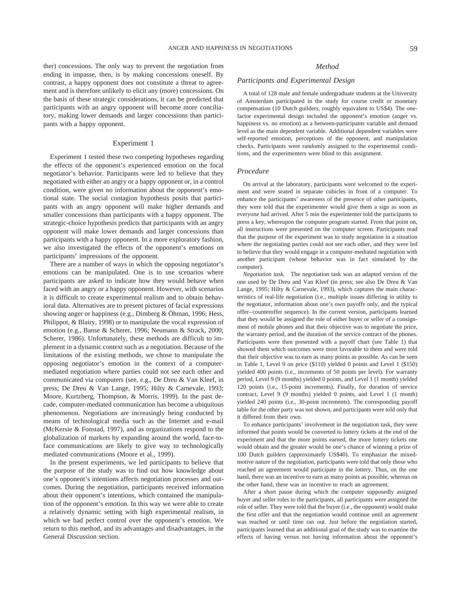ther) concessions. The only way to prevent the negotiation from ending in impasse, then, is by making concessions oneself. By contrast, a happy opponent does not constitute a threat to agreement and is therefore unlikely to elicit any (more) concessions. On the basis of these strategic considerations, it can be predicted that participants with an angry opponent will become more conciliatory, making lower demands and larger concessions than participants with a happy opponent.

# Experiment 1

Experiment 1 tested these two competing hypotheses regarding the effects of the opponent's experienced emotion on the focal negotiator's behavior. Participants were led to believe that they negotiated with either an angry or a happy opponent or, in a control condition, were given no information about the opponent's emotional state. The social contagion hypothesis posits that participants with an angry opponent will make higher demands and smaller concessions than participants with a happy opponent. The strategic-choice hypothesis predicts that participants with an angry opponent will make lower demands and larger concessions than participants with a happy opponent. In a more exploratory fashion, we also investigated the effects of the opponent's emotions on participants' impressions of the opponent.

There are a number of ways in which the opposing negotiator's emotions can be manipulated. One is to use scenarios where participants are asked to indicate how they would behave when faced with an angry or a happy opponent. However, with scenarios it is difficult to create experimental realism and to obtain behavioral data. Alternatives are to present pictures of facial expressions showing anger or happiness (e.g., Dimberg  $& \ddot{\text{O}}$  hman, 1996; Hess, Philippot, & Blairy, 1998) or to manipulate the vocal expression of emotion (e.g., Banse & Scherer, 1996; Neumann & Strack, 2000; Scherer, 1986). Unfortunately, these methods are difficult to implement in a dynamic context such as a negotiation. Because of the limitations of the existing methods, we chose to manipulate the opposing negotiator's emotion in the context of a computermediated negotiation where parties could not see each other and communicated via computers (see, e.g., De Dreu & Van Kleef, in press; De Dreu & Van Lange, 1995; Hilty & Carnevale, 1993; Moore, Kurtzberg, Thompson, & Morris, 1999). In the past decade, computer-mediated communication has become a ubiquitous phenomenon. Negotiations are increasingly being conducted by means of technological media such as the Internet and e-mail (McKersie & Fonstad, 1997), and as organizations respond to the globalization of markets by expanding around the world, face-toface communications are likely to give way to technologically mediated communications (Moore et al., 1999).

In the present experiments, we led participants to believe that the purpose of the study was to find out how knowledge about one's opponent's intentions affects negotiation processes and outcomes. During the negotiation, participants received information about their opponent's intentions, which contained the manipulation of the opponent's emotion. In this way we were able to create a relatively dynamic setting with high experimental realism, in which we had perfect control over the opponent's emotion. We return to this method, and its advantages and disadvantages, in the General Discussion section.

### *Method*

### *Participants and Experimental Design*

A total of 128 male and female undergraduate students at the University of Amsterdam participated in the study for course credit or monetary compensation (10 Dutch guilders, roughly equivalent to US\$4). The onefactor experimental design included the opponent's emotion (anger vs. happiness vs. no emotion) as a between-participants variable and demand level as the main dependent variable. Additional dependent variables were self-reported emotion, perceptions of the opponent, and manipulation checks. Participants were randomly assigned to the experimental conditions, and the experimenters were blind to this assignment.

### *Procedure*

On arrival at the laboratory, participants were welcomed to the experiment and were seated in separate cubicles in front of a computer. To enhance the participants' awareness of the presence of other participants, they were told that the experimenter would give them a sign as soon as everyone had arrived. After 5 min the experimenter told the participants to press a key, whereupon the computer program started. From that point on, all instructions were presented on the computer screen. Participants read that the purpose of the experiment was to study negotiation in a situation where the negotiating parties could not see each other, and they were led to believe that they would engage in a computer-mediated negotiation with another participant (whose behavior was in fact simulated by the computer).

*Negotiation task.* The negotiation task was an adapted version of the one used by De Dreu and Van Kleef (in press; see also De Dreu & Van Lange, 1995; Hilty & Carnevale, 1993), which captures the main characteristics of real-life negotiation (i.e., multiple issues differing in utility to the negotiator, information about one's own payoffs only, and the typical offer–counteroffer sequence). In the current version, participants learned that they would be assigned the role of either buyer or seller of a consignment of mobile phones and that their objective was to negotiate the price, the warranty period, and the duration of the service contract of the phones. Participants were then presented with a payoff chart (see Table 1) that showed them which outcomes were most favorable to them and were told that their objective was to earn as many points as possible. As can be seen in Table 1, Level 9 on price (\$110) yielded 0 points and Level 1 (\$150) yielded 400 points (i.e., increments of 50 points per level). For warranty period, Level 9 (9 months) yielded 0 points, and Level 1 (1 month) yielded 120 points (i.e., 15-point increments). Finally, for duration of service contract, Level 9 (9 months) yielded 0 points, and Level 1 (1 month) yielded 240 points (i.e., 30-point increments). The corresponding payoff table for the other party was not shown, and participants were told only that it differed from their own.

To enhance participants' involvement in the negotiation task, they were informed that points would be converted to lottery tickets at the end of the experiment and that the more points earned, the more lottery tickets one would obtain and the greater would be one's chance of winning a prize of 100 Dutch guilders (approximately US\$40). To emphasize the mixedmotive nature of the negotiation, participants were told that only those who reached an agreement would participate in the lottery. Thus, on the one hand, there was an incentive to earn as many points as possible, whereas on the other hand, there was an incentive to reach an agreement.

After a short pause during which the computer supposedly assigned buyer and seller roles to the participants, all participants were assigned the role of seller. They were told that the buyer (i.e., the opponent) would make the first offer and that the negotiation would continue until an agreement was reached or until time ran out. Just before the negotiation started, participants learned that an additional goal of the study was to examine the effects of having versus not having information about the opponent's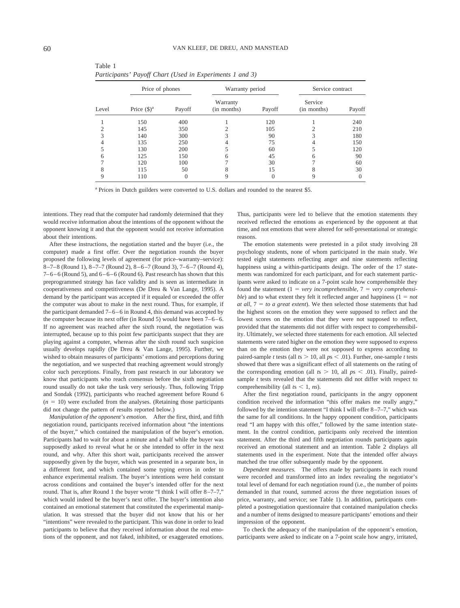| vv<br>۰,<br>M.<br>×<br>۰. |  |  |
|---------------------------|--|--|
|                           |  |  |
|                           |  |  |
|                           |  |  |

| Level | Price of phones                |        | Warranty period         |        | Service contract       |        |
|-------|--------------------------------|--------|-------------------------|--------|------------------------|--------|
|       | Price $(\text{\$})^{\text{a}}$ | Payoff | Warranty<br>(in months) | Payoff | Service<br>(in months) | Payoff |
|       | 150                            | 400    |                         | 120    |                        | 240    |
|       | 145                            | 350    |                         | 105    |                        | 210    |
|       | 140                            | 300    | 3                       | 90     |                        | 180    |
|       | 135                            | 250    |                         | 75     |                        | 150    |
|       | 130                            | 200    |                         | 60     |                        | 120    |
|       | 125                            | 150    | 6                       | 45     | h                      | 90     |
|       | 120                            | 100    |                         | 30     |                        | 60     |
|       | 115                            | 50     | δ                       | 15     |                        | 30     |
| 9     | 110                            |        | 9                       |        | 9                      |        |

Table 1 *Participants' Payoff Chart (Used in Experiments 1 and 3)*

<sup>a</sup> Prices in Dutch guilders were converted to U.S. dollars and rounded to the nearest \$5.

intentions. They read that the computer had randomly determined that they would receive information about the intentions of the opponent without the opponent knowing it and that the opponent would not receive information about their intentions.

After these instructions, the negotiation started and the buyer (i.e., the computer) made a first offer. Over the negotiation rounds the buyer proposed the following levels of agreement (for price–warranty–service): 8–7–8 (Round 1), 8–7–7 (Round 2), 8–6–7 (Round 3), 7–6–7 (Round 4),  $7-6-6$  (Round 5), and  $6-6-6$  (Round 6). Past research has shown that this preprogrammed strategy has face validity and is seen as intermediate in cooperativeness and competitiveness (De Dreu & Van Lange, 1995). A demand by the participant was accepted if it equaled or exceeded the offer the computer was about to make in the next round. Thus, for example, if the participant demanded 7–6–6 in Round 4, this demand was accepted by the computer because its next offer (in Round 5) would have been 7–6–6. If no agreement was reached after the sixth round, the negotiation was interrupted, because up to this point few participants suspect that they are playing against a computer, whereas after the sixth round such suspicion usually develops rapidly (De Dreu & Van Lange, 1995). Further, we wished to obtain measures of participants' emotions and perceptions during the negotiation, and we suspected that reaching agreement would strongly color such perceptions. Finally, from past research in our laboratory we know that participants who reach consensus before the sixth negotiation round usually do not take the task very seriously. Thus, following Tripp and Sondak (1992), participants who reached agreement before Round 6  $(n = 10)$  were excluded from the analyses. (Retaining those participants did not change the pattern of results reported below.)

*Manipulation of the opponent's emotion.* After the first, third, and fifth negotiation round, participants received information about "the intentions of the buyer," which contained the manipulation of the buyer's emotion. Participants had to wait for about a minute and a half while the buyer was supposedly asked to reveal what he or she intended to offer in the next round, and why. After this short wait, participants received the answer supposedly given by the buyer, which was presented in a separate box, in a different font, and which contained some typing errors in order to enhance experimental realism. The buyer's intentions were held constant across conditions and contained the buyer's intended offer for the next round. That is, after Round 1 the buyer wrote "I think I will offer 8–7–7," which would indeed be the buyer's next offer. The buyer's intention also contained an emotional statement that constituted the experimental manipulation. It was stressed that the buyer did not know that his or her "intentions" were revealed to the participant. This was done in order to lead participants to believe that they received information about the real emotions of the opponent, and not faked, inhibited, or exaggerated emotions.

Thus, participants were led to believe that the emotion statements they received reflected the emotions as experienced by the opponent at that time, and not emotions that were altered for self-presentational or strategic reasons.

The emotion statements were pretested in a pilot study involving 28 psychology students, none of whom participated in the main study. We tested eight statements reflecting anger and nine statements reflecting happiness using a within-participants design. The order of the 17 statements was randomized for each participant, and for each statement participants were asked to indicate on a 7-point scale how comprehensible they found the statement  $(1 = very incomprehensible, 7 = very comprehensible)$ *ble*) and to what extent they felt it reflected anger and happiness  $(1 = not$ *at all*,  $7 = to a great extent$ . We then selected those statements that had the highest scores on the emotion they were supposed to reflect and the lowest scores on the emotion that they were not supposed to reflect, provided that the statements did not differ with respect to comprehensibility. Ultimately, we selected three statements for each emotion. All selected statements were rated higher on the emotion they were supposed to express than on the emotion they were not supposed to express according to paired-sample *t* tests (all  $ts > 10$ , all  $ps < .01$ ). Further, one-sample *t* tests showed that there was a significant effect of all statements on the rating of the corresponding emotion (all  $ts > 10$ , all  $ps < .01$ ). Finally, pairedsample *t* tests revealed that the statements did not differ with respect to comprehensibility (all  $ts < 1$ ,  $ns$ ).

After the first negotiation round, participants in the angry opponent condition received the information "this offer makes me really angry," followed by the intention statement "I think I will offer 8–7–7," which was the same for all conditions. In the happy opponent condition, participants read "I am happy with this offer," followed by the same intention statement. In the control condition, participants only received the intention statement. After the third and fifth negotiation rounds participants again received an emotional statement and an intention. Table 2 displays all statements used in the experiment. Note that the intended offer always matched the true offer subsequently made by the opponent.

*Dependent measures.* The offers made by participants in each round were recorded and transformed into an index revealing the negotiator's total level of demand for each negotiation round (i.e., the number of points demanded in that round, summed across the three negotiation issues of price, warranty, and service; see Table 1). In addition, participants completed a postnegotiation questionnaire that contained manipulation checks and a number of items designed to measure participants' emotions and their impression of the opponent.

To check the adequacy of the manipulation of the opponent's emotion, participants were asked to indicate on a 7-point scale how angry, irritated,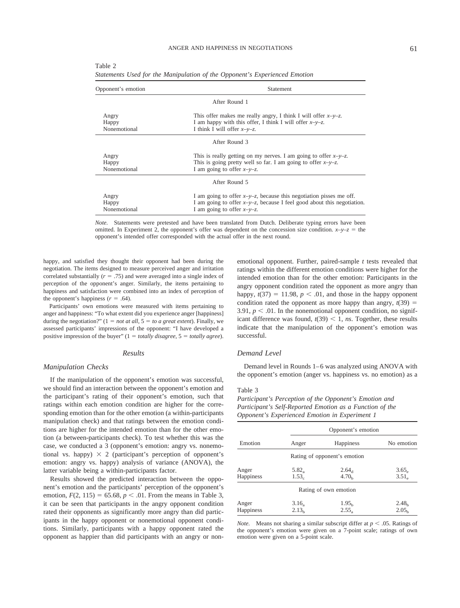| Opponent's emotion             | Statement                                                                                                                                                                           |  |  |  |  |
|--------------------------------|-------------------------------------------------------------------------------------------------------------------------------------------------------------------------------------|--|--|--|--|
| After Round 1                  |                                                                                                                                                                                     |  |  |  |  |
| Angry<br>Happy<br>Nonemotional | This offer makes me really angry, I think I will offer $x-y-z$ .<br>I am happy with this offer, I think I will offer $x-y-z$ .<br>I think I will offer $x-y-z$ .                    |  |  |  |  |
| After Round 3                  |                                                                                                                                                                                     |  |  |  |  |
| Angry<br>Happy<br>Nonemotional | This is really getting on my nerves. I am going to offer $x-y-z$ .<br>This is going pretty well so far. I am going to offer $x-y-z$ .<br>I am going to offer $x-y-z$ .              |  |  |  |  |
| After Round 5                  |                                                                                                                                                                                     |  |  |  |  |
| Angry<br>Happy<br>Nonemotional | I am going to offer $x-y-z$ , because this negotiation pisses me off.<br>I am going to offer $x-y-z$ , because I feel good about this negotiation.<br>I am going to offer $x-y-z$ . |  |  |  |  |

| Table 2                                                                    |  |
|----------------------------------------------------------------------------|--|
| Statements Used for the Manipulation of the Opponent's Experienced Emotion |  |

*Note.* Statements were pretested and have been translated from Dutch. Deliberate typing errors have been omitted. In Experiment 2, the opponent's offer was dependent on the concession size condition.  $x-y-z =$  the opponent's intended offer corresponded with the actual offer in the next round.

happy, and satisfied they thought their opponent had been during the negotiation. The items designed to measure perceived anger and irritation correlated substantially  $(r = .75)$  and were averaged into a single index of perception of the opponent's anger. Similarly, the items pertaining to happiness and satisfaction were combined into an index of perception of the opponent's happiness  $(r = .64)$ .

Participants' own emotions were measured with items pertaining to anger and happiness: "To what extent did you experience anger [happiness] during the negotiation?"  $(1 = not at all, 5 = to a great extent)$ . Finally, we assessed participants' impressions of the opponent: "I have developed a positive impression of the buyer"  $(1 = totally disagree, 5 = totally agree)$ .

#### *Results*

#### *Manipulation Checks*

If the manipulation of the opponent's emotion was successful, we should find an interaction between the opponent's emotion and the participant's rating of their opponent's emotion, such that ratings within each emotion condition are higher for the corresponding emotion than for the other emotion (a within-participants manipulation check) and that ratings between the emotion conditions are higher for the intended emotion than for the other emotion (a between-participants check). To test whether this was the case, we conducted a 3 (opponent's emotion: angry vs. nonemotional vs. happy)  $\times$  2 (participant's perception of opponent's emotion: angry vs. happy) analysis of variance (ANOVA), the latter variable being a within-participants factor.

Results showed the predicted interaction between the opponent's emotion and the participants' perception of the opponent's emotion,  $F(2, 115) = 65.68$ ,  $p < .01$ . From the means in Table 3, it can be seen that participants in the angry opponent condition rated their opponents as significantly more angry than did participants in the happy opponent or nonemotional opponent conditions. Similarly, participants with a happy opponent rated the opponent as happier than did participants with an angry or nonemotional opponent. Further, paired-sample *t* tests revealed that ratings within the different emotion conditions were higher for the intended emotion than for the other emotion: Participants in the angry opponent condition rated the opponent as more angry than happy,  $t(37) = 11.98$ ,  $p < .01$ , and those in the happy opponent condition rated the opponent as more happy than angry,  $t(39)$  = 3.91,  $p < .01$ . In the nonemotional opponent condition, no significant difference was found,  $t(39) < 1$ , *ns*. Together, these results indicate that the manipulation of the opponent's emotion was successful.

#### *Demand Level*

Demand level in Rounds 1–6 was analyzed using ANOVA with the opponent's emotion (anger vs. happiness vs. no emotion) as a

#### Table 3

*Participant's Perception of the Opponent's Emotion and Participant's Self-Reported Emotion as a Function of the Opponent's Experienced Emotion in Experiment 1*

|                    | Opponent's emotion            |                                     |                                     |  |  |  |
|--------------------|-------------------------------|-------------------------------------|-------------------------------------|--|--|--|
| Emotion            | Anger                         | <b>Happiness</b>                    | No emotion                          |  |  |  |
|                    |                               | Rating of opponent's emotion        |                                     |  |  |  |
| Anger<br>Happiness | $5.82_a$<br>1.53 <sub>c</sub> | $2.64_{\rm d}$<br>4.70 <sub>b</sub> | $3.65_{\circ}$<br>3.51 <sub>e</sub> |  |  |  |
|                    |                               | Rating of own emotion               |                                     |  |  |  |
| Anger<br>Happiness | $3.16_a$<br>2.13 <sub>b</sub> | 1.95 <sub>b</sub><br>$2.55_a$       | $2.48_{\rm b}$<br>$2.05_{\rm b}$    |  |  |  |

*Note.* Means not sharing a similar subscript differ at  $p < .05$ . Ratings of the opponent's emotion were given on a 7-point scale; ratings of own emotion were given on a 5-point scale.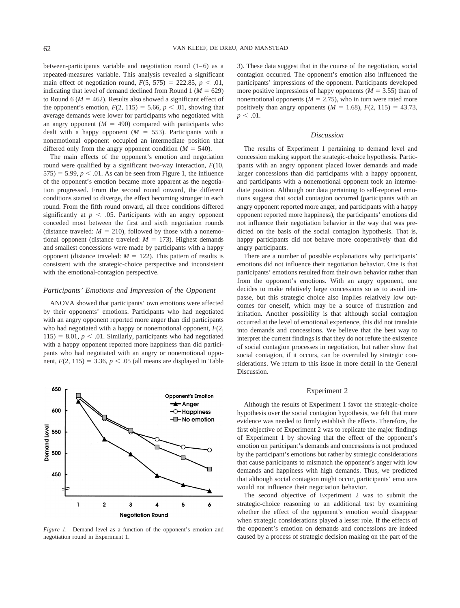between-participants variable and negotiation round  $(1-6)$  as a repeated-measures variable. This analysis revealed a significant main effect of negotiation round,  $F(5, 575) = 222.85$ ,  $p < .01$ , indicating that level of demand declined from Round 1 ( $M = 629$ ) to Round 6 ( $M = 462$ ). Results also showed a significant effect of the opponent's emotion,  $F(2, 115) = 5.66$ ,  $p < .01$ , showing that average demands were lower for participants who negotiated with an angry opponent  $(M = 490)$  compared with participants who dealt with a happy opponent  $(M = 553)$ . Participants with a nonemotional opponent occupied an intermediate position that differed only from the angry opponent condition  $(M = 540)$ .

The main effects of the opponent's emotion and negotiation round were qualified by a significant two-way interaction, *F*(10,  $575$ ) = 5.99,  $p < .01$ . As can be seen from Figure 1, the influence of the opponent's emotion became more apparent as the negotiation progressed. From the second round onward, the different conditions started to diverge, the effect becoming stronger in each round. From the fifth round onward, all three conditions differed significantly at  $p < .05$ . Participants with an angry opponent conceded most between the first and sixth negotiation rounds (distance traveled:  $M = 210$ ), followed by those with a nonemotional opponent (distance traveled:  $M = 173$ ). Highest demands and smallest concessions were made by participants with a happy opponent (distance traveled:  $M = 122$ ). This pattern of results is consistent with the strategic-choice perspective and inconsistent with the emotional-contagion perspective.

# *Participants' Emotions and Impression of the Opponent*

ANOVA showed that participants' own emotions were affected by their opponents' emotions. Participants who had negotiated with an angry opponent reported more anger than did participants who had negotiated with a happy or nonemotional opponent, *F*(2,  $115$ ) = 8.01,  $p < .01$ . Similarly, participants who had negotiated with a happy opponent reported more happiness than did participants who had negotiated with an angry or nonemotional opponent,  $F(2, 115) = 3.36$ ,  $p < .05$  (all means are displayed in Table



*Figure 1.* Demand level as a function of the opponent's emotion and negotiation round in Experiment 1.

3). These data suggest that in the course of the negotiation, social contagion occurred. The opponent's emotion also influenced the participants' impressions of the opponent. Participants developed more positive impressions of happy opponents ( $M = 3.55$ ) than of nonemotional opponents ( $M = 2.75$ ), who in turn were rated more positively than angry opponents  $(M = 1.68)$ ,  $F(2, 115) = 43.73$ ,  $p < .01$ .

### *Discussion*

The results of Experiment 1 pertaining to demand level and concession making support the strategic-choice hypothesis. Participants with an angry opponent placed lower demands and made larger concessions than did participants with a happy opponent, and participants with a nonemotional opponent took an intermediate position. Although our data pertaining to self-reported emotions suggest that social contagion occurred (participants with an angry opponent reported more anger, and participants with a happy opponent reported more happiness), the participants' emotions did not influence their negotiation behavior in the way that was predicted on the basis of the social contagion hypothesis. That is, happy participants did not behave more cooperatively than did angry participants.

There are a number of possible explanations why participants' emotions did not influence their negotiation behavior. One is that participants' emotions resulted from their own behavior rather than from the opponent's emotions. With an angry opponent, one decides to make relatively large concessions so as to avoid impasse, but this strategic choice also implies relatively low outcomes for oneself, which may be a source of frustration and irritation. Another possibility is that although social contagion occurred at the level of emotional experience, this did not translate into demands and concessions. We believe that the best way to interpret the current findings is that they do not refute the existence of social contagion processes in negotiation, but rather show that social contagion, if it occurs, can be overruled by strategic considerations. We return to this issue in more detail in the General Discussion.

# Experiment 2

Although the results of Experiment 1 favor the strategic-choice hypothesis over the social contagion hypothesis, we felt that more evidence was needed to firmly establish the effects. Therefore, the first objective of Experiment 2 was to replicate the major findings of Experiment 1 by showing that the effect of the opponent's emotion on participant's demands and concessions is not produced by the participant's emotions but rather by strategic considerations that cause participants to mismatch the opponent's anger with low demands and happiness with high demands. Thus, we predicted that although social contagion might occur, participants' emotions would not influence their negotiation behavior.

The second objective of Experiment 2 was to submit the strategic-choice reasoning to an additional test by examining whether the effect of the opponent's emotion would disappear when strategic considerations played a lesser role. If the effects of the opponent's emotion on demands and concessions are indeed caused by a process of strategic decision making on the part of the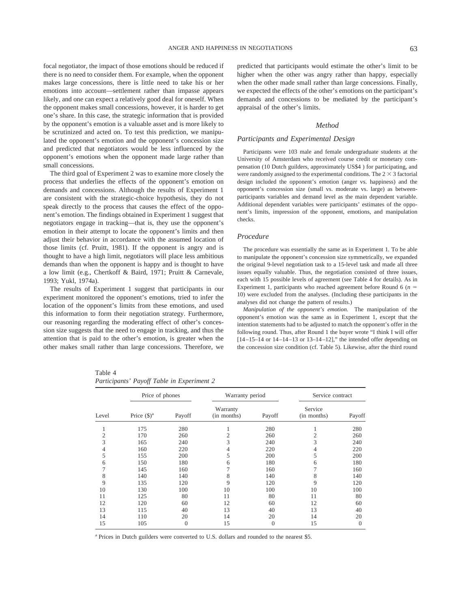focal negotiator, the impact of those emotions should be reduced if there is no need to consider them. For example, when the opponent makes large concessions, there is little need to take his or her emotions into account—settlement rather than impasse appears likely, and one can expect a relatively good deal for oneself. When the opponent makes small concessions, however, it is harder to get one's share. In this case, the strategic information that is provided by the opponent's emotion is a valuable asset and is more likely to be scrutinized and acted on. To test this prediction, we manipulated the opponent's emotion and the opponent's concession size and predicted that negotiators would be less influenced by the opponent's emotions when the opponent made large rather than small concessions.

The third goal of Experiment 2 was to examine more closely the process that underlies the effects of the opponent's emotion on demands and concessions. Although the results of Experiment 1 are consistent with the strategic-choice hypothesis, they do not speak directly to the process that causes the effect of the opponent's emotion. The findings obtained in Experiment 1 suggest that negotiators engage in tracking—that is, they use the opponent's emotion in their attempt to locate the opponent's limits and then adjust their behavior in accordance with the assumed location of those limits (cf. Pruitt, 1981). If the opponent is angry and is thought to have a high limit, negotiators will place less ambitious demands than when the opponent is happy and is thought to have a low limit (e.g., Chertkoff & Baird, 1971; Pruitt & Carnevale, 1993; Yukl, 1974a).

The results of Experiment 1 suggest that participants in our experiment monitored the opponent's emotions, tried to infer the location of the opponent's limits from these emotions, and used this information to form their negotiation strategy. Furthermore, our reasoning regarding the moderating effect of other's concession size suggests that the need to engage in tracking, and thus the attention that is paid to the other's emotion, is greater when the other makes small rather than large concessions. Therefore, we

predicted that participants would estimate the other's limit to be higher when the other was angry rather than happy, especially when the other made small rather than large concessions. Finally, we expected the effects of the other's emotions on the participant's demands and concessions to be mediated by the participant's appraisal of the other's limits.

### *Method*

# *Participants and Experimental Design*

Participants were 103 male and female undergraduate students at the University of Amsterdam who received course credit or monetary compensation (10 Dutch guilders, approximately US\$4 ) for participating, and were randomly assigned to the experimental conditions. The  $2 \times 3$  factorial design included the opponent's emotion (anger vs. happiness) and the opponent's concession size (small vs. moderate vs. large) as betweenparticipants variables and demand level as the main dependent variable. Additional dependent variables were participants' estimates of the opponent's limits, impression of the opponent, emotions, and manipulation checks.

# *Procedure*

The procedure was essentially the same as in Experiment 1. To be able to manipulate the opponent's concession size symmetrically, we expanded the original 9-level negotiation task to a 15-level task and made all three issues equally valuable. Thus, the negotiation consisted of three issues, each with 15 possible levels of agreement (see Table 4 for details). As in Experiment 1, participants who reached agreement before Round 6 (*n* 10) were excluded from the analyses. (Including these participants in the analyses did not change the pattern of results.)

*Manipulation of the opponent's emotion.* The manipulation of the opponent's emotion was the same as in Experiment 1, except that the intention statements had to be adjusted to match the opponent's offer in the following round. Thus, after Round 1 the buyer wrote "I think I will offer  $[14–15–14$  or  $14–14–13$  or  $13–14–12$ ]," the intended offer depending on the concession size condition (cf. Table 5). Likewise, after the third round

Table 4 *Participants' Payoff Table in Experiment 2*

|                | Price of phones |          | Warranty period         |        | Service contract       |        |
|----------------|-----------------|----------|-------------------------|--------|------------------------|--------|
| Level          | Price $(\$)^a$  | Payoff   | Warranty<br>(in months) | Payoff | Service<br>(in months) | Payoff |
|                | 175             | 280      |                         | 280    |                        | 280    |
| $\overline{2}$ | 170             | 260      | $\overline{c}$          | 260    | $\overline{2}$         | 260    |
| 3              | 165             | 240      | 3                       | 240    | 3                      | 240    |
| 4              | 160             | 220      | 4                       | 220    | 4                      | 220    |
| 5              | 155             | 200      | 5                       | 200    | 5                      | 200    |
| 6              | 150             | 180      | 6                       | 180    | 6                      | 180    |
| 7              | 145             | 160      |                         | 160    | 7                      | 160    |
| 8              | 140             | 140      | 8                       | 140    | 8                      | 140    |
| 9              | 135             | 120      | 9                       | 120    | 9                      | 120    |
| 10             | 130             | 100      | 10                      | 100    | 10                     | 100    |
| 11             | 125             | 80       | 11                      | 80     | 11                     | 80     |
| 12             | 120             | 60       | 12                      | 60     | 12                     | 60     |
| 13             | 115             | 40       | 13                      | 40     | 13                     | 40     |
| 14             | 110             | 20       | 14                      | 20     | 14                     | 20     |
| 15             | 105             | $\theta$ | 15                      | 0      | 15                     | 0      |

<sup>a</sup> Prices in Dutch guilders were converted to U.S. dollars and rounded to the nearest \$5.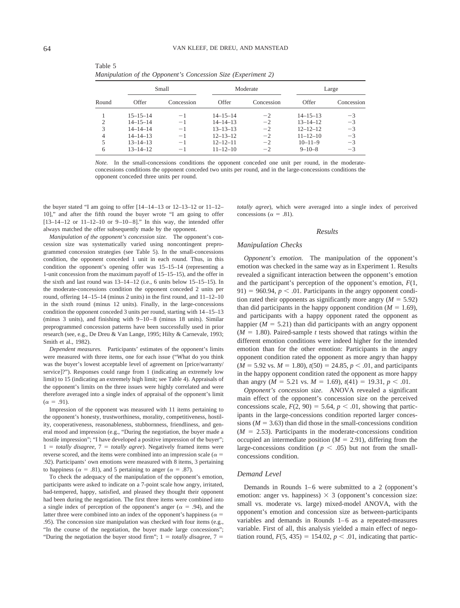|                | Small          |            |                | Moderate   | Large          |            |  |
|----------------|----------------|------------|----------------|------------|----------------|------------|--|
| Round          | Offer          | Concession | Offer          | Concession | Offer          | Concession |  |
|                | $15 - 15 - 14$ | $-1$       | $14 - 15 - 14$ | $-2$       | $14 - 15 - 13$ | -3         |  |
| 2              | $14 - 15 - 14$ | $-1$       | $14 - 14 - 13$ | $-2$       | $13 - 14 - 12$ | $-3$       |  |
| 3              | $14 - 14 - 14$ | $-1$       | $13 - 13 - 13$ | $-2$       | $12 - 12 - 12$ | $-3$       |  |
| $\overline{4}$ | $14 - 14 - 13$ | $-1$       | $12 - 13 - 12$ | $-2$       | $11 - 12 - 10$ | -3         |  |
| 5              | $13 - 14 - 13$ | $-1$       | $12 - 12 - 11$ | $-2$       | $10 - 11 - 9$  | -3         |  |
| 6              | $13 - 14 - 12$ | $-1$       | $11 - 12 - 10$ | $-2$       | $9 - 10 - 8$   | -3         |  |

Table 5 *Manipulation of the Opponent's Concession Size (Experiment 2)*

*Note.* In the small-concessions conditions the opponent conceded one unit per round, in the moderateconcessions conditions the opponent conceded two units per round, and in the large-concessions conditions the opponent conceded three units per round.

the buyer stated "I am going to offer  $[14-14-13$  or  $12-13-12$  or  $11-12-$ 10]," and after the fifth round the buyer wrote "I am going to offer [13–14–12 or 11–12–10 or 9–10–8]." In this way, the intended offer always matched the offer subsequently made by the opponent.

*totally agree*), which were averaged into a single index of perceived concessions ( $\alpha = .81$ ).

### *Results*

# *Manipulation Checks*

*Manipulation of the opponent's concession size.* The opponent's concession size was systematically varied using noncontingent preprogrammed concession strategies (see Table 5). In the small-concessions condition, the opponent conceded 1 unit in each round. Thus, in this condition the opponent's opening offer was 15–15–14 (representing a 1-unit concession from the maximum payoff of 15–15–15), and the offer in the sixth and last round was 13–14–12 (i.e., 6 units below 15–15–15). In the moderate-concessions condition the opponent conceded 2 units per round, offering  $14-15-14$  (minus 2 units) in the first round, and  $11-12-10$ in the sixth round (minus 12 units). Finally, in the large-concessions condition the opponent conceded 3 units per round, starting with 14–15–13 (minus 3 units), and finishing with 9–10–8 (minus 18 units). Similar preprogrammed concession patterns have been successfully used in prior research (see, e.g., De Dreu & Van Lange, 1995; Hilty & Carnevale, 1993; Smith et al., 1982).

*Dependent measures.* Participants' estimates of the opponent's limits were measured with three items, one for each issue ("What do you think was the buyer's lowest acceptable level of agreement on [price/warranty/ service]?"). Responses could range from 1 (indicating an extremely low limit) to 15 (indicating an extremely high limit; see Table 4). Appraisals of the opponent's limits on the three issues were highly correlated and were therefore averaged into a single index of appraisal of the opponent's limit  $(\alpha = .91)$ .

Impression of the opponent was measured with 11 items pertaining to the opponent's honesty, trustworthiness, morality, competitiveness, hostility, cooperativeness, reasonableness, stubbornness, friendliness, and general mood and impression (e.g., "During the negotiation, the buyer made a hostile impression"; "I have developed a positive impression of the buyer";  $1 =$  *totally disagree*,  $7 =$  *totally agree*). Negatively framed items were reverse scored, and the items were combined into an impression scale ( $\alpha$  = .92). Participants' own emotions were measured with 8 items, 3 pertaining to happiness ( $\alpha = .81$ ), and 5 pertaining to anger ( $\alpha = .87$ ).

To check the adequacy of the manipulation of the opponent's emotion, participants were asked to indicate on a 7-point scale how angry, irritated, bad-tempered, happy, satisfied, and pleased they thought their opponent had been during the negotiation. The first three items were combined into a single index of perception of the opponent's anger ( $\alpha$  = .94), and the latter three were combined into an index of the opponent's happiness ( $\alpha$  = .95). The concession size manipulation was checked with four items (e.g., "In the course of the negotiation, the buyer made large concessions"; "During the negotiation the buyer stood firm";  $1 = totally disagree, 7 =$ 

*Opponent's emotion.* The manipulation of the opponent's emotion was checked in the same way as in Experiment 1. Results revealed a significant interaction between the opponent's emotion and the participant's perception of the opponent's emotion, *F*(1, 91) = 960.94,  $p < .01$ . Participants in the angry opponent condition rated their opponents as significantly more angry  $(M = 5.92)$ than did participants in the happy opponent condition  $(M = 1.69)$ , and participants with a happy opponent rated the opponent as happier  $(M = 5.21)$  than did participants with an angry opponent  $(M = 1.80)$ . Paired-sample *t* tests showed that ratings within the different emotion conditions were indeed higher for the intended emotion than for the other emotion: Participants in the angry opponent condition rated the opponent as more angry than happy  $(M = 5.92 \text{ vs. } M = 1.80), t(50) = 24.85, p < .01, \text{ and participants}$ in the happy opponent condition rated the opponent as more happy than angry ( $M = 5.21$  vs.  $M = 1.69$ ),  $t(41) = 19.31, p < .01$ .

*Opponent's concession size.* ANOVA revealed a significant main effect of the opponent's concession size on the perceived concessions scale,  $F(2, 90) = 5.64$ ,  $p < .01$ , showing that participants in the large-concessions condition reported larger concessions  $(M = 3.63)$  than did those in the small-concessions condition  $(M = 2.53)$ . Participants in the moderate-concessions condition occupied an intermediate position  $(M = 2.91)$ , differing from the large-concessions condition ( $p < .05$ ) but not from the smallconcessions condition.

### *Demand Level*

Demands in Rounds 1–6 were submitted to a 2 (opponent's emotion: anger vs. happiness)  $\times$  3 (opponent's concession size: small vs. moderate vs. large) mixed-model ANOVA, with the opponent's emotion and concession size as between-participants variables and demands in Rounds 1–6 as a repeated-measures variable. First of all, this analysis yielded a main effect of negotiation round,  $F(5, 435) = 154.02$ ,  $p < .01$ , indicating that partic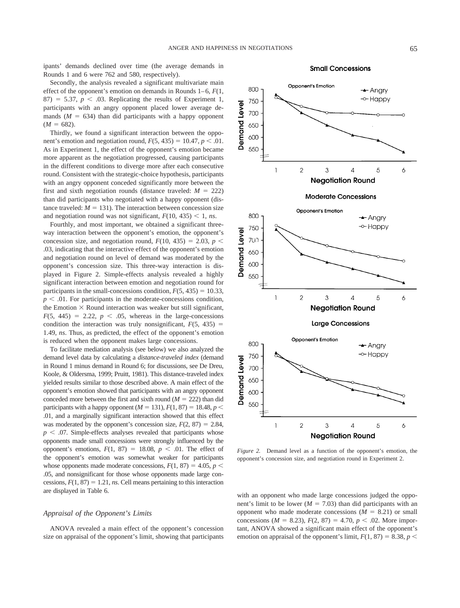ipants' demands declined over time (the average demands in Rounds 1 and 6 were 762 and 580, respectively).

Secondly, the analysis revealed a significant multivariate main effect of the opponent's emotion on demands in Rounds 1–6, *F*(1,  $87) = 5.37, p < .03$ . Replicating the results of Experiment 1, participants with an angry opponent placed lower average demands  $(M = 634)$  than did participants with a happy opponent  $(M = 682)$ .

Thirdly, we found a significant interaction between the opponent's emotion and negotiation round,  $F(5, 435) = 10.47$ ,  $p < .01$ . As in Experiment 1, the effect of the opponent's emotion became more apparent as the negotiation progressed, causing participants in the different conditions to diverge more after each consecutive round. Consistent with the strategic-choice hypothesis, participants with an angry opponent conceded significantly more between the first and sixth negotiation rounds (distance traveled:  $M = 222$ ) than did participants who negotiated with a happy opponent (distance traveled:  $M = 131$ ). The interaction between concession size and negotiation round was not significant,  $F(10, 435) < 1$ , *ns*.

Fourthly, and most important, we obtained a significant threeway interaction between the opponent's emotion, the opponent's concession size, and negotiation round,  $F(10, 435) = 2.03$ ,  $p \le$ .03, indicating that the interactive effect of the opponent's emotion and negotiation round on level of demand was moderated by the opponent's concession size. This three-way interaction is displayed in Figure 2. Simple-effects analysis revealed a highly significant interaction between emotion and negotiation round for participants in the small-concessions condition,  $F(5, 435) = 10.33$ ,  $p < .01$ . For participants in the moderate-concessions condition, the Emotion  $\times$  Round interaction was weaker but still significant,  $F(5, 445) = 2.22, p < .05$ , whereas in the large-concessions condition the interaction was truly nonsignificant,  $F(5, 435)$  = 1.49, *ns*. Thus, as predicted, the effect of the opponent's emotion is reduced when the opponent makes large concessions.

To facilitate mediation analysis (see below) we also analyzed the demand level data by calculating a *distance-traveled index* (demand in Round 1 minus demand in Round 6; for discussions, see De Dreu, Koole, & Oldersma, 1999; Pruitt, 1981). This distance-traveled index yielded results similar to those described above. A main effect of the opponent's emotion showed that participants with an angry opponent conceded more between the first and sixth round  $(M = 222)$  than did participants with a happy opponent ( $M = 131$ ),  $F(1, 87) = 18.48$ ,  $p <$ .01, and a marginally significant interaction showed that this effect was moderated by the opponent's concession size,  $F(2, 87) = 2.84$ ,  $p \leq 0.07$ . Simple-effects analyses revealed that participants whose opponents made small concessions were strongly influenced by the opponent's emotions,  $F(1, 87) = 18.08$ ,  $p < .01$ . The effect of the opponent's emotion was somewhat weaker for participants whose opponents made moderate concessions,  $F(1, 87) = 4.05$ ,  $p <$ .05, and nonsignificant for those whose opponents made large concessions,  $F(1, 87) = 1.21$ , *ns*. Cell means pertaining to this interaction are displayed in Table 6.

# *Appraisal of the Opponent's Limits*

ANOVA revealed a main effect of the opponent's concession size on appraisal of the opponent's limit, showing that participants



*Figure 2.* Demand level as a function of the opponent's emotion, the opponent's concession size, and negotiation round in Experiment 2.

with an opponent who made large concessions judged the opponent's limit to be lower ( $M = 7.03$ ) than did participants with an opponent who made moderate concessions  $(M = 8.21)$  or small concessions ( $M = 8.23$ ),  $F(2, 87) = 4.70$ ,  $p < .02$ . More important, ANOVA showed a significant main effect of the opponent's emotion on appraisal of the opponent's limit,  $F(1, 87) = 8.38$ ,  $p <$ 

# **Small Concessions**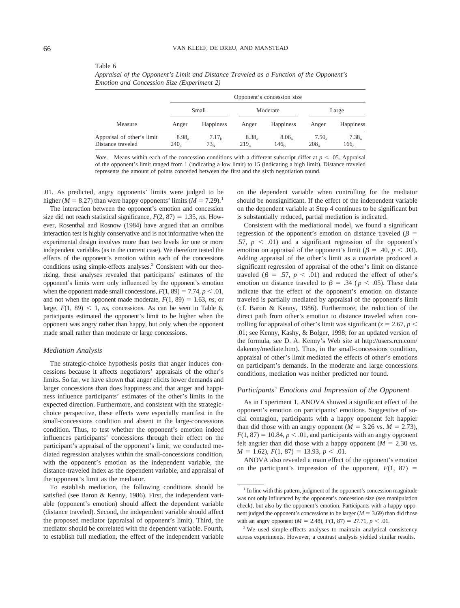| Appraisal of the Opponent's Limit and Distance Traveled as a Function of the Opponent's |  |  |  |  |
|-----------------------------------------------------------------------------------------|--|--|--|--|
| Emotion and Concession Size (Experiment 2)                                              |  |  |  |  |

|                                                 |                     | Opponent's concession size           |                           |                          |                                 |                  |  |
|-------------------------------------------------|---------------------|--------------------------------------|---------------------------|--------------------------|---------------------------------|------------------|--|
| Measure                                         |                     | Small                                |                           | Moderate                 |                                 | Large            |  |
|                                                 | Anger               | <b>Happiness</b>                     | Anger                     | <b>Happiness</b>         | Anger                           | Happiness        |  |
| Appraisal of other's limit<br>Distance traveled | $8.98_a$<br>$240_a$ | 7.17 <sub>b</sub><br>73 <sub>h</sub> | 8.38.<br>219 <sub>2</sub> | 8.06<br>146 <sub>b</sub> | $7.50_{\circ}$<br>$208_{\circ}$ | $7.38_a$<br>166, |  |

*Note.* Means within each of the concession conditions with a different subscript differ at  $p < .05$ . Appraisal of the opponent's limit ranged from 1 (indicating a low limit) to 15 (indicating a high limit). Distance traveled represents the amount of points conceded between the first and the sixth negotiation round.

.01. As predicted, angry opponents' limits were judged to be higher ( $M = 8.27$ ) than were happy opponents' limits ( $M = 7.29$ ).<sup>1</sup>

Table 6

The interaction between the opponent's emotion and concession size did not reach statistical significance,  $F(2, 87) = 1.35$ , *ns*. However, Rosenthal and Rosnow (1984) have argued that an omnibus interaction test is highly conservative and is not informative when the experimental design involves more than two levels for one or more independent variables (as in the current case). We therefore tested the effects of the opponent's emotion within each of the concessions conditions using simple-effects analyses.<sup>2</sup> Consistent with our theorizing, these analyses revealed that participants' estimates of the opponent's limits were only influenced by the opponent's emotion when the opponent made small concessions,  $F(1, 89) = 7.74$ ,  $p < .01$ , and not when the opponent made moderate,  $F(1, 89) = 1.63$ , *ns*, or large,  $F(1, 89) < 1$ , *ns*, concessions. As can be seen in Table 6, participants estimated the opponent's limit to be higher when the opponent was angry rather than happy, but only when the opponent made small rather than moderate or large concessions.

#### *Mediation Analysis*

The strategic-choice hypothesis posits that anger induces concessions because it affects negotiators' appraisals of the other's limits. So far, we have shown that anger elicits lower demands and larger concessions than does happiness and that anger and happiness influence participants' estimates of the other's limits in the expected direction. Furthermore, and consistent with the strategicchoice perspective, these effects were especially manifest in the small-concessions condition and absent in the large-concessions condition. Thus, to test whether the opponent's emotion indeed influences participants' concessions through their effect on the participant's appraisal of the opponent's limit, we conducted mediated regression analyses within the small-concessions condition, with the opponent's emotion as the independent variable, the distance-traveled index as the dependent variable, and appraisal of the opponent's limit as the mediator.

To establish mediation, the following conditions should be satisfied (see Baron & Kenny, 1986). First, the independent variable (opponent's emotion) should affect the dependent variable (distance traveled). Second, the independent variable should affect the proposed mediator (appraisal of opponent's limit). Third, the mediator should be correlated with the dependent variable. Fourth, to establish full mediation, the effect of the independent variable on the dependent variable when controlling for the mediator should be nonsignificant. If the effect of the independent variable on the dependent variable at Step 4 continues to be significant but is substantially reduced, partial mediation is indicated.

Consistent with the mediational model, we found a significant regression of the opponent's emotion on distance traveled ( $\beta$  = .57,  $p < .01$ ) and a significant regression of the opponent's emotion on appraisal of the opponent's limit ( $\beta = .40, p < .03$ ). Adding appraisal of the other's limit as a covariate produced a significant regression of appraisal of the other's limit on distance traveled ( $\beta = .57$ ,  $p < .01$ ) and reduced the effect of other's emotion on distance traveled to  $\beta = .34$  ( $p < .05$ ). These data indicate that the effect of the opponent's emotion on distance traveled is partially mediated by appraisal of the opponent's limit (cf. Baron & Kenny, 1986). Furthermore, the reduction of the direct path from other's emotion to distance traveled when controlling for appraisal of other's limit was significant ( $z = 2.67$ ,  $p <$ .01; see Kenny, Kashy, & Bolger, 1998; for an updated version of the formula, see D. A. Kenny's Web site at http://users.rcn.com/ dakenny/mediate.htm). Thus, in the small-concessions condition, appraisal of other's limit mediated the effects of other's emotions on participant's demands. In the moderate and large concessions conditions, mediation was neither predicted nor found.

#### *Participants' Emotions and Impression of the Opponent*

As in Experiment 1, ANOVA showed a significant effect of the opponent's emotion on participants' emotions. Suggestive of social contagion, participants with a happy opponent felt happier than did those with an angry opponent ( $M = 3.26$  vs.  $M = 2.73$ ),  $F(1, 87) = 10.84$ ,  $p < .01$ , and participants with an angry opponent felt angrier than did those with a happy opponent  $(M = 2.30 \text{ vs.})$  $M = 1.62$ ,  $F(1, 87) = 13.93$ ,  $p < .01$ .

ANOVA also revealed a main effect of the opponent's emotion on the participant's impression of the opponent,  $F(1, 87)$  =

 $<sup>1</sup>$  In line with this pattern, judgment of the opponent's concession magnitude</sup> was not only influenced by the opponent's concession size (see manipulation check), but also by the opponent's emotion. Participants with a happy opponent judged the opponent's concessions to be larger  $(M = 3.69)$  than did those with an angry opponent ( $M = 2.48$ ),  $F(1, 87) = 27.71$ ,  $p < .01$ .

<sup>2</sup> We used simple-effects analyses to maintain analytical consistency across experiments. However, a contrast analysis yielded similar results.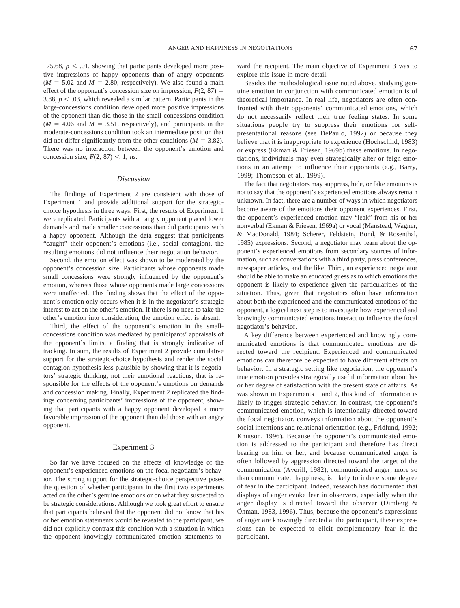175.68,  $p < .01$ , showing that participants developed more positive impressions of happy opponents than of angry opponents  $(M = 5.02$  and  $M = 2.80$ , respectively). We also found a main effect of the opponent's concession size on impression,  $F(2, 87) =$ 3.88,  $p < .03$ , which revealed a similar pattern. Participants in the large-concessions condition developed more positive impressions of the opponent than did those in the small-concessions condition  $(M = 4.06$  and  $M = 3.51$ , respectively), and participants in the moderate-concessions condition took an intermediate position that did not differ significantly from the other conditions  $(M = 3.82)$ . There was no interaction between the opponent's emotion and concession size,  $F(2, 87) < 1$ , *ns*.

### *Discussion*

The findings of Experiment 2 are consistent with those of Experiment 1 and provide additional support for the strategicchoice hypothesis in three ways. First, the results of Experiment 1 were replicated: Participants with an angry opponent placed lower demands and made smaller concessions than did participants with a happy opponent. Although the data suggest that participants "caught" their opponent's emotions (i.e., social contagion), the resulting emotions did not influence their negotiation behavior.

Second, the emotion effect was shown to be moderated by the opponent's concession size. Participants whose opponents made small concessions were strongly influenced by the opponent's emotion, whereas those whose opponents made large concessions were unaffected. This finding shows that the effect of the opponent's emotion only occurs when it is in the negotiator's strategic interest to act on the other's emotion. If there is no need to take the other's emotion into consideration, the emotion effect is absent.

Third, the effect of the opponent's emotion in the smallconcessions condition was mediated by participants' appraisals of the opponent's limits, a finding that is strongly indicative of tracking. In sum, the results of Experiment 2 provide cumulative support for the strategic-choice hypothesis and render the social contagion hypothesis less plausible by showing that it is negotiators' strategic thinking, not their emotional reactions, that is responsible for the effects of the opponent's emotions on demands and concession making. Finally, Experiment 2 replicated the findings concerning participants' impressions of the opponent, showing that participants with a happy opponent developed a more favorable impression of the opponent than did those with an angry opponent.

# Experiment 3

So far we have focused on the effects of knowledge of the opponent's experienced emotions on the focal negotiator's behavior. The strong support for the strategic-choice perspective poses the question of whether participants in the first two experiments acted on the other's genuine emotions or on what they suspected to be strategic considerations. Although we took great effort to ensure that participants believed that the opponent did not know that his or her emotion statements would be revealed to the participant, we did not explicitly contrast this condition with a situation in which the opponent knowingly communicated emotion statements toward the recipient. The main objective of Experiment 3 was to explore this issue in more detail.

Besides the methodological issue noted above, studying genuine emotion in conjunction with communicated emotion is of theoretical importance. In real life, negotiators are often confronted with their opponents' communicated emotions, which do not necessarily reflect their true feeling states. In some situations people try to suppress their emotions for selfpresentational reasons (see DePaulo, 1992) or because they believe that it is inappropriate to experience (Hochschild, 1983) or express (Ekman & Friesen, 1969b) these emotions. In negotiations, individuals may even strategically alter or feign emotions in an attempt to influence their opponents (e.g., Barry, 1999; Thompson et al., 1999).

The fact that negotiators may suppress, hide, or fake emotions is not to say that the opponent's experienced emotions always remain unknown. In fact, there are a number of ways in which negotiators become aware of the emotions their opponent experiences. First, the opponent's experienced emotion may "leak" from his or her nonverbal (Ekman & Friesen, 1969a) or vocal (Manstead, Wagner, & MacDonald, 1984; Scherer, Feldstein, Bond, & Rosenthal, 1985) expressions. Second, a negotiator may learn about the opponent's experienced emotions from secondary sources of information, such as conversations with a third party, press conferences, newspaper articles, and the like. Third, an experienced negotiator should be able to make an educated guess as to which emotions the opponent is likely to experience given the particularities of the situation. Thus, given that negotiators often have information about both the experienced and the communicated emotions of the opponent, a logical next step is to investigate how experienced and knowingly communicated emotions interact to influence the focal negotiator's behavior.

A key difference between experienced and knowingly communicated emotions is that communicated emotions are directed toward the recipient. Experienced and communicated emotions can therefore be expected to have different effects on behavior. In a strategic setting like negotiation, the opponent's true emotion provides strategically useful information about his or her degree of satisfaction with the present state of affairs. As was shown in Experiments 1 and 2, this kind of information is likely to trigger strategic behavior. In contrast, the opponent's communicated emotion, which is intentionally directed toward the focal negotiator, conveys information about the opponent's social intentions and relational orientation (e.g., Fridlund, 1992; Knutson, 1996). Because the opponent's communicated emotion is addressed to the participant and therefore has direct bearing on him or her, and because communicated anger is often followed by aggression directed toward the target of the communication (Averill, 1982), communicated anger, more so than communicated happiness, is likely to induce some degree of fear in the participant. Indeed, research has documented that displays of anger evoke fear in observers, especially when the anger display is directed toward the observer (Dimberg & Öhman, 1983, 1996). Thus, because the opponent's expressions of anger are knowingly directed at the participant, these expressions can be expected to elicit complementary fear in the participant.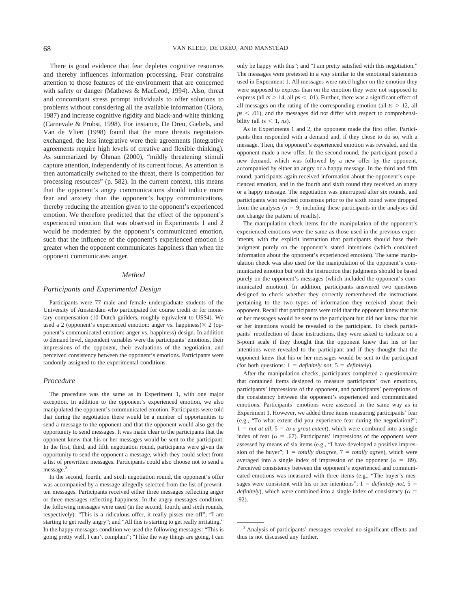There is good evidence that fear depletes cognitive resources and thereby influences information processing. Fear constrains attention to those features of the environment that are concerned with safety or danger (Mathews & MacLeod, 1994). Also, threat and concomitant stress prompt individuals to offer solutions to problems without considering all the available information (Giora, 1987) and increase cognitive rigidity and black-and-white thinking (Carnevale & Probst, 1998). For instance, De Dreu, Giebels, and Van de Vliert (1998) found that the more threats negotiators exchanged, the less integrative were their agreements (integrative agreements require high levels of creative and flexible thinking). As summarized by Öhman (2000), "mildly threatening stimuli capture attention, independently of its current focus. As attention is then automatically switched to the threat, there is competition for processing resources" (p. 582). In the current context, this means that the opponent's angry communications should induce more fear and anxiety than the opponent's happy communications, thereby reducing the attention given to the opponent's experienced emotion. We therefore predicted that the effect of the opponent's experienced emotion that was observed in Experiments 1 and 2 would be moderated by the opponent's communicated emotion, such that the influence of the opponent's experienced emotion is greater when the opponent communicates happiness than when the opponent communicates anger.

# *Method*

# *Participants and Experimental Design*

Participants were 77 male and female undergraduate students of the University of Amsterdam who participated for course credit or for monetary compensation (10 Dutch guilders, roughly equivalent to US\$4). We used a 2 (opponent's experienced emotion: anger vs. happiness) $\times$  2 (opponent's communicated emotion: anger vs. happiness) design. In addition to demand level, dependent variables were the participants' emotions, their impressions of the opponent, their evaluations of the negotiation, and perceived consistency between the opponent's emotions. Participants were randomly assigned to the experimental conditions.

#### *Procedure*

The procedure was the same as in Experiment 1, with one major exception. In addition to the opponent's experienced emotion, we also manipulated the opponent's communicated emotion. Participants were told that during the negotiation there would be a number of opportunities to send a message to the opponent and that the opponent would also get the opportunity to send messages. It was made clear to the participants that the opponent knew that his or her messages would be sent to the participant. In the first, third, and fifth negotiation round, participants were given the opportunity to send the opponent a message, which they could select from a list of prewritten messages. Participants could also choose not to send a message.<sup>3</sup>

In the second, fourth, and sixth negotiation round, the opponent's offer was accompanied by a message allegedly selected from the list of prewritten messages. Participants received either three messages reflecting anger or three messages reflecting happiness. In the angry messages condition, the following messages were used (in the second, fourth, and sixth rounds, respectively): "This is a ridiculous offer, it really pisses me off"; "I am starting to get really angry"; and "All this is starting to get really irritating." In the happy messages condition we used the following messages: "This is going pretty well, I can't complain"; "I like the way things are going, I can

only be happy with this"; and "I am pretty satisfied with this negotiation." The messages were pretested in a way similar to the emotional statements used in Experiment 1. All messages were rated higher on the emotion they were supposed to express than on the emotion they were not supposed to express (all  $ts > 14$ , all  $ps < .01$ ). Further, there was a significant effect of all messages on the rating of the corresponding emotion (all  $ts > 12$ , all  $p<sub>5</sub>$  < .01), and the messages did not differ with respect to comprehensibility (all  $ts < 1$ , *ns*).

As in Experiments 1 and 2, the opponent made the first offer. Participants then responded with a demand and, if they chose to do so, with a message. Then, the opponent's experienced emotion was revealed, and the opponent made a new offer. In the second round, the participant posed a new demand, which was followed by a new offer by the opponent, accompanied by either an angry or a happy message. In the third and fifth round, participants again received information about the opponent's experienced emotion, and in the fourth and sixth round they received an angry or a happy message. The negotiation was interrupted after six rounds, and participants who reached consensus prior to the sixth round were dropped from the analyses  $(n = 9)$ ; including these participants in the analyses did not change the pattern of results).

The manipulation check items for the manipulation of the opponent's experienced emotions were the same as those used in the previous experiments, with the explicit instruction that participants should base their judgment purely on the opponent's stated intentions (which contained information about the opponent's experienced emotion). The same manipulation check was also used for the manipulation of the opponent's communicated emotion but with the instruction that judgments should be based purely on the opponent's messages (which included the opponent's communicated emotion). In addition, participants answered two questions designed to check whether they correctly remembered the instructions pertaining to the two types of information they received about their opponent. Recall that participants were told that the opponent knew that his or her messages would be sent to the participant but did not know that his or her intentions would be revealed to the participant. To check participants' recollection of these instructions, they were asked to indicate on a 5-point scale if they thought that the opponent knew that his or her intentions were revealed to the participant and if they thought that the opponent knew that his or her messages would be sent to the participant (for both questions:  $1 = \text{definitely not}, 5 = \text{definitely}.$ ).

After the manipulation checks, participants completed a questionnaire that contained items designed to measure participants' own emotions, participants' impressions of the opponent, and participants' perceptions of the consistency between the opponent's experienced and communicated emotions. Participants' emotions were assessed in the same way as in Experiment 1. However, we added three items measuring participants' fear (e.g., "To what extent did you experience fear during the negotiation?";  $1 = not at all, 5 = to a great extent, which were combined into a single$ index of fear ( $\alpha = .67$ ). Participants' impressions of the opponent were assessed by means of six items (e.g., "I have developed a positive impression of the buyer";  $1 = totally disagree, 7 = totally agree$ , which were averaged into a single index of impression of the opponent ( $\alpha = .89$ ). Perceived consistency between the opponent's experienced and communicated emotions was measured with three items (e.g., "The buyer's messages were consistent with his or her intentions";  $1 = \text{definitely not}, 5 =$ *definitely*), which were combined into a single index of consistency ( $\alpha$  = .92).

<sup>3</sup> Analysis of participants' messages revealed no significant effects and thus is not discussed any further.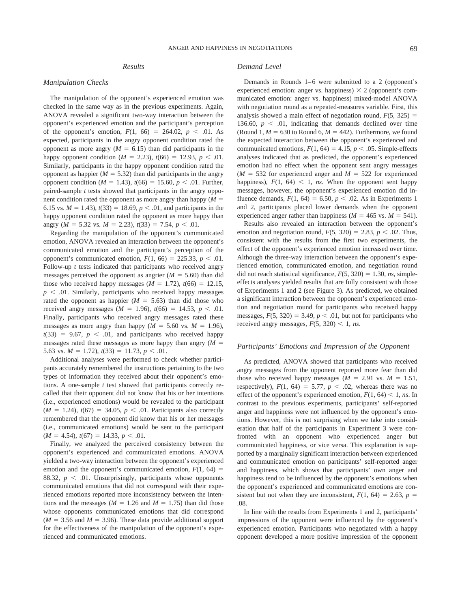# *Results*

# *Manipulation Checks*

The manipulation of the opponent's experienced emotion was checked in the same way as in the previous experiments. Again, ANOVA revealed a significant two-way interaction between the opponent's experienced emotion and the participant's perception of the opponent's emotion,  $F(1, 66) = 264.02$ ,  $p < .01$ . As expected, participants in the angry opponent condition rated the opponent as more angry  $(M = 6.15)$  than did participants in the happy opponent condition ( $M = 2.23$ ),  $t(66) = 12.93$ ,  $p < .01$ . Similarly, participants in the happy opponent condition rated the opponent as happier  $(M = 5.32)$  than did participants in the angry opponent condition ( $M = 1.43$ ),  $t(66) = 15.60, p < .01$ . Further, paired-sample *t* tests showed that participants in the angry opponent condition rated the opponent as more angry than happy (*M* 6.15 vs.  $M = 1.43$ ,  $t(33) = 18.69$ ,  $p < .01$ , and participants in the happy opponent condition rated the opponent as more happy than angry ( $M = 5.32$  vs.  $M = 2.23$ ),  $t(33) = 7.54$ ,  $p < .01$ .

Regarding the manipulation of the opponent's communicated emotion, ANOVA revealed an interaction between the opponent's communicated emotion and the participant's perception of the opponent's communicated emotion,  $F(1, 66) = 225.33$ ,  $p < .01$ . Follow-up *t* tests indicated that participants who received angry messages perceived the opponent as angrier  $(M = 5.60)$  than did those who received happy messages ( $M = 1.72$ ),  $t(66) = 12.15$ ,  $p < .01$ . Similarly, participants who received happy messages rated the opponent as happier  $(M = 5.63)$  than did those who received angry messages ( $M = 1.96$ ),  $t(66) = 14.53$ ,  $p < .01$ . Finally, participants who received angry messages rated these messages as more angry than happy ( $M = 5.60$  vs.  $M = 1.96$ ),  $t(33) = 9.67$ ,  $p < .01$ , and participants who received happy messages rated these messages as more happy than angry (*M* 5.63 vs.  $M = 1.72$ ,  $t(33) = 11.73$ ,  $p < .01$ .

Additional analyses were performed to check whether participants accurately remembered the instructions pertaining to the two types of information they received about their opponent's emotions. A one-sample *t* test showed that participants correctly recalled that their opponent did not know that his or her intentions (i.e., experienced emotions) would be revealed to the participant  $(M = 1.24)$ ,  $t(67) = 34.05$ ,  $p < .01$ . Participants also correctly remembered that the opponent did know that his or her messages (i.e., communicated emotions) would be sent to the participant  $(M = 4.54), t(67) = 14.33, p < .01.$ 

Finally, we analyzed the perceived consistency between the opponent's experienced and communicated emotions. ANOVA yielded a two-way interaction between the opponent's experienced emotion and the opponent's communicated emotion,  $F(1, 64) =$ 88.32,  $p < .01$ . Unsurprisingly, participants whose opponents communicated emotions that did not correspond with their experienced emotions reported more inconsistency between the intentions and the messages ( $M = 1.26$  and  $M = 1.75$ ) than did those whose opponents communicated emotions that did correspond  $(M = 3.56$  and  $M = 3.96$ ). These data provide additional support for the effectiveness of the manipulation of the opponent's experienced and communicated emotions.

# *Demand Level*

Demands in Rounds 1–6 were submitted to a 2 (opponent's experienced emotion: anger vs. happiness)  $\times$  2 (opponent's communicated emotion: anger vs. happiness) mixed-model ANOVA with negotiation round as a repeated-measures variable. First, this analysis showed a main effect of negotiation round,  $F(5, 325) =$ 136.60,  $p < .01$ , indicating that demands declined over time (Round 1,  $M = 630$  to Round 6,  $M = 442$ ). Furthermore, we found the expected interaction between the opponent's experienced and communicated emotions,  $F(1, 64) = 4.15$ ,  $p < .05$ . Simple-effects analyses indicated that as predicted, the opponent's experienced emotion had no effect when the opponent sent angry messages  $(M = 532$  for experienced anger and  $M = 522$  for experienced happiness),  $F(1, 64) < 1$ , *ns*. When the opponent sent happy messages, however, the opponent's experienced emotion did influence demands,  $F(1, 64) = 6.50$ ,  $p < .02$ . As in Experiments 1 and 2, participants placed lower demands when the opponent experienced anger rather than happiness ( $M = 465$  vs.  $M = 541$ ).

Results also revealed an interaction between the opponent's emotion and negotiation round,  $F(5, 320) = 2.83$ ,  $p < .02$ . Thus, consistent with the results from the first two experiments, the effect of the opponent's experienced emotion increased over time. Although the three-way interaction between the opponent's experienced emotion, communicated emotion, and negotiation round did not reach statistical significance,  $F(5, 320) = 1.30$ , *ns*, simpleeffects analyses yielded results that are fully consistent with those of Experiments 1 and 2 (see Figure 3). As predicted, we obtained a significant interaction between the opponent's experienced emotion and negotiation round for participants who received happy messages,  $F(5, 320) = 3.49$ ,  $p < .01$ , but not for participants who received angry messages,  $F(5, 320) < 1$ , *ns*.

#### *Participants' Emotions and Impression of the Opponent*

As predicted, ANOVA showed that participants who received angry messages from the opponent reported more fear than did those who received happy messages ( $M = 2.91$  vs.  $M = 1.51$ , respectively),  $F(1, 64) = 5.77$ ,  $p < .02$ , whereas there was no effect of the opponent's experienced emotion,  $F(1, 64) < 1$ , *ns*. In contrast to the previous experiments, participants' self-reported anger and happiness were not influenced by the opponent's emotions. However, this is not surprising when we take into consideration that half of the participants in Experiment 3 were confronted with an opponent who experienced anger but communicated happiness, or vice versa. This explanation is supported by a marginally significant interaction between experienced and communicated emotion on participants' self-reported anger and happiness, which shows that participants' own anger and happiness tend to be influenced by the opponent's emotions when the opponent's experienced and communicated emotions are consistent but not when they are inconsistent,  $F(1, 64) = 2.63$ ,  $p =$ .08.

In line with the results from Experiments 1 and 2, participants' impressions of the opponent were influenced by the opponent's experienced emotion. Participants who negotiated with a happy opponent developed a more positive impression of the opponent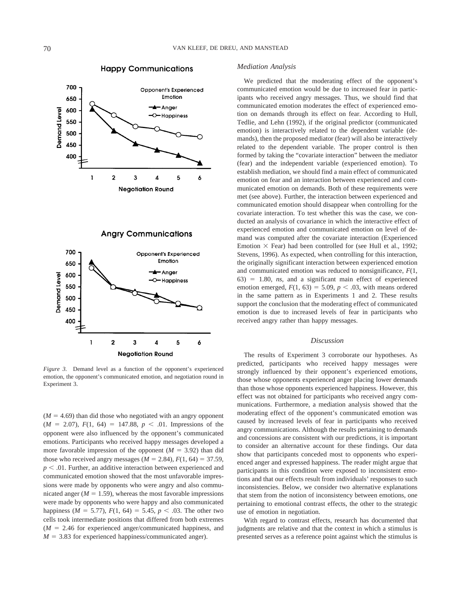

**Happy Communications** 





*Figure 3.* Demand level as a function of the opponent's experienced emotion, the opponent's communicated emotion, and negotiation round in Experiment 3.

 $(M = 4.69)$  than did those who negotiated with an angry opponent  $(M = 2.07)$ ,  $F(1, 64) = 147.88$ ,  $p < .01$ . Impressions of the opponent were also influenced by the opponent's communicated emotions. Participants who received happy messages developed a more favorable impression of the opponent  $(M = 3.92)$  than did those who received angry messages ( $M = 2.84$ ),  $F(1, 64) = 37.59$ ,  $p < .01$ . Further, an additive interaction between experienced and communicated emotion showed that the most unfavorable impressions were made by opponents who were angry and also communicated anger  $(M = 1.59)$ , whereas the most favorable impressions were made by opponents who were happy and also communicated happiness ( $M = 5.77$ ),  $F(1, 64) = 5.45$ ,  $p < .03$ . The other two cells took intermediate positions that differed from both extremes  $(M = 2.46$  for experienced anger/communicated happiness, and  $M = 3.83$  for experienced happiness/communicated anger).

### *Mediation Analysis*

We predicted that the moderating effect of the opponent's communicated emotion would be due to increased fear in participants who received angry messages. Thus, we should find that communicated emotion moderates the effect of experienced emotion on demands through its effect on fear. According to Hull, Tedlie, and Lehn (1992), if the original predictor (communicated emotion) is interactively related to the dependent variable (demands), then the proposed mediator (fear) will also be interactively related to the dependent variable. The proper control is then formed by taking the "covariate interaction" between the mediator (fear) and the independent variable (experienced emotion). To establish mediation, we should find a main effect of communicated emotion on fear and an interaction between experienced and communicated emotion on demands. Both of these requirements were met (see above). Further, the interaction between experienced and communicated emotion should disappear when controlling for the covariate interaction. To test whether this was the case, we conducted an analysis of covariance in which the interactive effect of experienced emotion and communicated emotion on level of demand was computed after the covariate interaction (Experienced Emotion  $\times$  Fear) had been controlled for (see Hull et al., 1992; Stevens, 1996). As expected, when controlling for this interaction, the originally significant interaction between experienced emotion and communicated emotion was reduced to nonsignificance, *F*(1,  $63$ ) = 1.80,  $ns$ , and a significant main effect of experienced emotion emerged,  $F(1, 63) = 5.09$ ,  $p < .03$ , with means ordered in the same pattern as in Experiments 1 and 2. These results support the conclusion that the moderating effect of communicated emotion is due to increased levels of fear in participants who received angry rather than happy messages.

# *Discussion*

The results of Experiment 3 corroborate our hypotheses. As predicted, participants who received happy messages were strongly influenced by their opponent's experienced emotions, those whose opponents experienced anger placing lower demands than those whose opponents experienced happiness. However, this effect was not obtained for participants who received angry communications. Furthermore, a mediation analysis showed that the moderating effect of the opponent's communicated emotion was caused by increased levels of fear in participants who received angry communications. Although the results pertaining to demands and concessions are consistent with our predictions, it is important to consider an alternative account for these findings. Our data show that participants conceded most to opponents who experienced anger and expressed happiness. The reader might argue that participants in this condition were exposed to inconsistent emotions and that our effects result from individuals' responses to such inconsistencies. Below, we consider two alternative explanations that stem from the notion of inconsistency between emotions, one pertaining to emotional contrast effects, the other to the strategic use of emotion in negotiation.

With regard to contrast effects, research has documented that judgments are relative and that the context in which a stimulus is presented serves as a reference point against which the stimulus is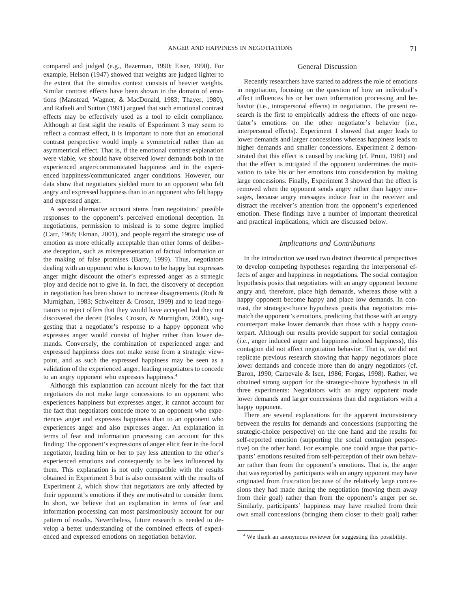compared and judged (e.g., Bazerman, 1990; Eiser, 1990). For example, Helson (1947) showed that weights are judged lighter to the extent that the stimulus context consists of heavier weights. Similar contrast effects have been shown in the domain of emotions (Manstead, Wagner, & MacDonald, 1983; Thayer, 1980), and Rafaeli and Sutton (1991) argued that such emotional contrast effects may be effectively used as a tool to elicit compliance. Although at first sight the results of Experiment 3 may seem to reflect a contrast effect, it is important to note that an emotional contrast perspective would imply a symmetrical rather than an asymmetrical effect. That is, if the emotional contrast explanation were viable, we should have observed lower demands both in the experienced anger/communicated happiness and in the experienced happiness/communicated anger conditions. However, our data show that negotiators yielded more to an opponent who felt angry and expressed happiness than to an opponent who felt happy and expressed anger.

A second alternative account stems from negotiators' possible responses to the opponent's perceived emotional deception. In negotiations, permission to mislead is to some degree implied (Carr, 1968; Ekman, 2001), and people regard the strategic use of emotion as more ethically acceptable than other forms of deliberate deception, such as misrepresentation of factual information or the making of false promises (Barry, 1999). Thus, negotiators dealing with an opponent who is known to be happy but expresses anger might discount the other's expressed anger as a strategic ploy and decide not to give in. In fact, the discovery of deception in negotiation has been shown to increase disagreements (Roth & Murnighan, 1983; Schweitzer & Croson, 1999) and to lead negotiators to reject offers that they would have accepted had they not discovered the deceit (Boles, Croson, & Murnighan, 2000), suggesting that a negotiator's response to a happy opponent who expresses anger would consist of higher rather than lower demands. Conversely, the combination of experienced anger and expressed happiness does not make sense from a strategic viewpoint, and as such the expressed happiness may be seen as a validation of the experienced anger, leading negotiators to concede to an angry opponent who expresses happiness.4

Although this explanation can account nicely for the fact that negotiators do not make large concessions to an opponent who experiences happiness but expresses anger, it cannot account for the fact that negotiators concede more to an opponent who experiences anger and expresses happiness than to an opponent who experiences anger and also expresses anger. An explanation in terms of fear and information processing can account for this finding: The opponent's expressions of anger elicit fear in the focal negotiator, leading him or her to pay less attention to the other's experienced emotions and consequently to be less influenced by them. This explanation is not only compatible with the results obtained in Experiment 3 but is also consistent with the results of Experiment 2, which show that negotiators are only affected by their opponent's emotions if they are motivated to consider them. In short, we believe that an explanation in terms of fear and information processing can most parsimoniously account for our pattern of results. Nevertheless, future research is needed to develop a better understanding of the combined effects of experienced and expressed emotions on negotiation behavior.

# General Discussion

Recently researchers have started to address the role of emotions in negotiation, focusing on the question of how an individual's affect influences his or her own information processing and behavior (i.e., intrapersonal effects) in negotiation. The present research is the first to empirically address the effects of one negotiator's emotions on the other negotiator's behavior (i.e., interpersonal effects). Experiment 1 showed that anger leads to lower demands and larger concessions whereas happiness leads to higher demands and smaller concessions. Experiment 2 demonstrated that this effect is caused by tracking (cf. Pruitt, 1981) and that the effect is mitigated if the opponent undermines the motivation to take his or her emotions into consideration by making large concessions. Finally, Experiment 3 showed that the effect is removed when the opponent sends angry rather than happy messages, because angry messages induce fear in the receiver and distract the receiver's attention from the opponent's experienced emotion. These findings have a number of important theoretical and practical implications, which are discussed below.

### *Implications and Contributions*

In the introduction we used two distinct theoretical perspectives to develop competing hypotheses regarding the interpersonal effects of anger and happiness in negotiations. The social contagion hypothesis posits that negotiators with an angry opponent become angry and, therefore, place high demands, whereas those with a happy opponent become happy and place low demands. In contrast, the strategic-choice hypothesis posits that negotiators mismatch the opponent's emotions, predicting that those with an angry counterpart make lower demands than those with a happy counterpart. Although our results provide support for social contagion (i.e., anger induced anger and happiness induced happiness), this contagion did not affect negotiation behavior. That is, we did not replicate previous research showing that happy negotiators place lower demands and concede more than do angry negotiators (cf. Baron, 1990; Carnevale & Isen, 1986; Forgas, 1998). Rather, we obtained strong support for the strategic-choice hypothesis in all three experiments: Negotiators with an angry opponent made lower demands and larger concessions than did negotiators with a happy opponent.

There are several explanations for the apparent inconsistency between the results for demands and concessions (supporting the strategic-choice perspective) on the one hand and the results for self-reported emotion (supporting the social contagion perspective) on the other hand. For example, one could argue that participants' emotions resulted from self-perception of their own behavior rather than from the opponent's emotions. That is, the anger that was reported by participants with an angry opponent may have originated from frustration because of the relatively large concessions they had made during the negotiation (moving them away from their goal) rather than from the opponent's anger per se. Similarly, participants' happiness may have resulted from their own small concessions (bringing them closer to their goal) rather

<sup>4</sup> We thank an anonymous reviewer for suggesting this possibility.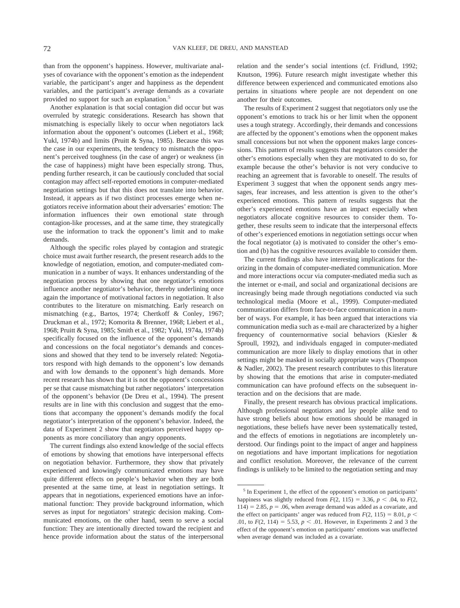than from the opponent's happiness. However, multivariate analyses of covariance with the opponent's emotion as the independent variable, the participant's anger and happiness as the dependent variables, and the participant's average demands as a covariate provided no support for such an explanation.5

Another explanation is that social contagion did occur but was overruled by strategic considerations. Research has shown that mismatching is especially likely to occur when negotiators lack information about the opponent's outcomes (Liebert et al., 1968; Yukl, 1974b) and limits (Pruitt & Syna, 1985). Because this was the case in our experiments, the tendency to mismatch the opponent's perceived toughness (in the case of anger) or weakness (in the case of happiness) might have been especially strong. Thus, pending further research, it can be cautiously concluded that social contagion may affect self-reported emotions in computer-mediated negotiation settings but that this does not translate into behavior. Instead, it appears as if two distinct processes emerge when negotiators receive information about their adversaries' emotion: The information influences their own emotional state through contagion-like processes, and at the same time, they strategically use the information to track the opponent's limit and to make demands.

Although the specific roles played by contagion and strategic choice must await further research, the present research adds to the knowledge of negotiation, emotion, and computer-mediated communication in a number of ways. It enhances understanding of the negotiation process by showing that one negotiator's emotions influence another negotiator's behavior, thereby underlining once again the importance of motivational factors in negotiation. It also contributes to the literature on mismatching. Early research on mismatching (e.g., Bartos, 1974; Chertkoff & Conley, 1967; Druckman et al., 1972; Komorita & Brenner, 1968; Liebert et al., 1968; Pruitt & Syna, 1985; Smith et al., 1982; Yukl, 1974a, 1974b) specifically focused on the influence of the opponent's demands and concessions on the focal negotiator's demands and concessions and showed that they tend to be inversely related: Negotiators respond with high demands to the opponent's low demands and with low demands to the opponent's high demands. More recent research has shown that it is not the opponent's concessions per se that cause mismatching but rather negotiators' interpretation of the opponent's behavior (De Dreu et al., 1994). The present results are in line with this conclusion and suggest that the emotions that accompany the opponent's demands modify the focal negotiator's interpretation of the opponent's behavior. Indeed, the data of Experiment 2 show that negotiators perceived happy opponents as more conciliatory than angry opponents.

The current findings also extend knowledge of the social effects of emotions by showing that emotions have interpersonal effects on negotiation behavior. Furthermore, they show that privately experienced and knowingly communicated emotions may have quite different effects on people's behavior when they are both presented at the same time, at least in negotiation settings. It appears that in negotiations, experienced emotions have an informational function: They provide background information, which serves as input for negotiators' strategic decision making. Communicated emotions, on the other hand, seem to serve a social function: They are intentionally directed toward the recipient and hence provide information about the status of the interpersonal

relation and the sender's social intentions (cf. Fridlund, 1992; Knutson, 1996). Future research might investigate whether this difference between experienced and communicated emotions also pertains in situations where people are not dependent on one another for their outcomes.

The results of Experiment 2 suggest that negotiators only use the opponent's emotions to track his or her limit when the opponent uses a tough strategy. Accordingly, their demands and concessions are affected by the opponent's emotions when the opponent makes small concessions but not when the opponent makes large concessions. This pattern of results suggests that negotiators consider the other's emotions especially when they are motivated to do so, for example because the other's behavior is not very conducive to reaching an agreement that is favorable to oneself. The results of Experiment 3 suggest that when the opponent sends angry messages, fear increases, and less attention is given to the other's experienced emotions. This pattern of results suggests that the other's experienced emotions have an impact especially when negotiators allocate cognitive resources to consider them. Together, these results seem to indicate that the interpersonal effects of other's experienced emotions in negotiation settings occur when the focal negotiator (a) is motivated to consider the other's emotion and (b) has the cognitive resources available to consider them.

The current findings also have interesting implications for theorizing in the domain of computer-mediated communication. More and more interactions occur via computer-mediated media such as the internet or e-mail, and social and organizational decisions are increasingly being made through negotiations conducted via such technological media (Moore et al., 1999). Computer-mediated communication differs from face-to-face communication in a number of ways. For example, it has been argued that interactions via communication media such as e-mail are characterized by a higher frequency of counternormative social behaviors (Kiesler & Sproull, 1992), and individuals engaged in computer-mediated communication are more likely to display emotions that in other settings might be masked in socially appropriate ways (Thompson & Nadler, 2002). The present research contributes to this literature by showing that the emotions that arise in computer-mediated communication can have profound effects on the subsequent interaction and on the decisions that are made.

Finally, the present research has obvious practical implications. Although professional negotiators and lay people alike tend to have strong beliefs about how emotions should be managed in negotiations, these beliefs have never been systematically tested, and the effects of emotions in negotiations are incompletely understood. Our findings point to the impact of anger and happiness on negotiations and have important implications for negotiation and conflict resolution. Moreover, the relevance of the current findings is unlikely to be limited to the negotiation setting and may

<sup>5</sup> In Experiment 1, the effect of the opponent's emotion on participants' happiness was slightly reduced from  $F(2, 115) = 3.36$ ,  $p < .04$ , to  $F(2, 115) = 3.36$  $114$ ) = 2.85,  $p = .06$ , when average demand was added as a covariate, and the effect on participants' anger was reduced from  $F(2, 115) = 8.01$ ,  $p \le$ .01, to  $F(2, 114) = 5.53$ ,  $p < .01$ . However, in Experiments 2 and 3 the effect of the opponent's emotion on participants' emotions was unaffected when average demand was included as a covariate.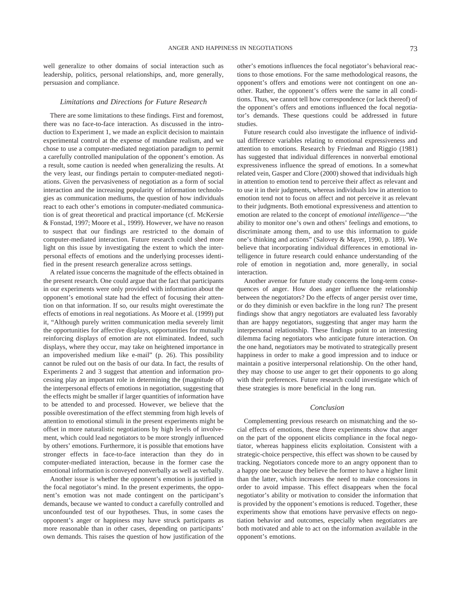well generalize to other domains of social interaction such as leadership, politics, personal relationships, and, more generally, persuasion and compliance.

# *Limitations and Directions for Future Research*

There are some limitations to these findings. First and foremost, there was no face-to-face interaction. As discussed in the introduction to Experiment 1, we made an explicit decision to maintain experimental control at the expense of mundane realism, and we chose to use a computer-mediated negotiation paradigm to permit a carefully controlled manipulation of the opponent's emotion. As a result, some caution is needed when generalizing the results. At the very least, our findings pertain to computer-mediated negotiations. Given the pervasiveness of negotiation as a form of social interaction and the increasing popularity of information technologies as communication mediums, the question of how individuals react to each other's emotions in computer-mediated communication is of great theoretical and practical importance (cf. McKersie & Fonstad, 1997; Moore et al., 1999). However, we have no reason to suspect that our findings are restricted to the domain of computer-mediated interaction. Future research could shed more light on this issue by investigating the extent to which the interpersonal effects of emotions and the underlying processes identified in the present research generalize across settings.

A related issue concerns the magnitude of the effects obtained in the present research. One could argue that the fact that participants in our experiments were only provided with information about the opponent's emotional state had the effect of focusing their attention on that information. If so, our results might overestimate the effects of emotions in real negotiations. As Moore et al. (1999) put it, "Although purely written communication media severely limit the opportunities for affective displays, opportunities for mutually reinforcing displays of emotion are not eliminated. Indeed, such displays, where they occur, may take on heightened importance in an impoverished medium like e-mail" (p. 26). This possibility cannot be ruled out on the basis of our data. In fact, the results of Experiments 2 and 3 suggest that attention and information processing play an important role in determining the (magnitude of) the interpersonal effects of emotions in negotiation, suggesting that the effects might be smaller if larger quantities of information have to be attended to and processed. However, we believe that the possible overestimation of the effect stemming from high levels of attention to emotional stimuli in the present experiments might be offset in more naturalistic negotiations by high levels of involvement, which could lead negotiators to be more strongly influenced by others' emotions. Furthermore, it is possible that emotions have stronger effects in face-to-face interaction than they do in computer-mediated interaction, because in the former case the emotional information is conveyed nonverbally as well as verbally.

Another issue is whether the opponent's emotion is justified in the focal negotiator's mind. In the present experiments, the opponent's emotion was not made contingent on the participant's demands, because we wanted to conduct a carefully controlled and unconfounded test of our hypotheses. Thus, in some cases the opponent's anger or happiness may have struck participants as more reasonable than in other cases, depending on participants' own demands. This raises the question of how justification of the other's emotions influences the focal negotiator's behavioral reactions to those emotions. For the same methodological reasons, the opponent's offers and emotions were not contingent on one another. Rather, the opponent's offers were the same in all conditions. Thus, we cannot tell how correspondence (or lack thereof) of the opponent's offers and emotions influenced the focal negotiator's demands. These questions could be addressed in future studies.

Future research could also investigate the influence of individual difference variables relating to emotional expressiveness and attention to emotions. Research by Friedman and Riggio (1981) has suggested that individual differences in nonverbal emotional expressiveness influence the spread of emotions. In a somewhat related vein, Gasper and Clore (2000) showed that individuals high in attention to emotion tend to perceive their affect as relevant and to use it in their judgments, whereas individuals low in attention to emotion tend not to focus on affect and not perceive it as relevant to their judgments. Both emotional expressiveness and attention to emotion are related to the concept of *emotional intelligence*—"the ability to monitor one's own and others' feelings and emotions, to discriminate among them, and to use this information to guide one's thinking and actions" (Salovey & Mayer, 1990, p. 189). We believe that incorporating individual differences in emotional intelligence in future research could enhance understanding of the role of emotion in negotiation and, more generally, in social interaction.

Another avenue for future study concerns the long-term consequences of anger. How does anger influence the relationship between the negotiators? Do the effects of anger persist over time, or do they diminish or even backfire in the long run? The present findings show that angry negotiators are evaluated less favorably than are happy negotiators, suggesting that anger may harm the interpersonal relationship. These findings point to an interesting dilemma facing negotiators who anticipate future interaction. On the one hand, negotiators may be motivated to strategically present happiness in order to make a good impression and to induce or maintain a positive interpersonal relationship. On the other hand, they may choose to use anger to get their opponents to go along with their preferences. Future research could investigate which of these strategies is more beneficial in the long run.

# *Conclusion*

Complementing previous research on mismatching and the social effects of emotions, these three experiments show that anger on the part of the opponent elicits compliance in the focal negotiator, whereas happiness elicits exploitation. Consistent with a strategic-choice perspective, this effect was shown to be caused by tracking. Negotiators concede more to an angry opponent than to a happy one because they believe the former to have a higher limit than the latter, which increases the need to make concessions in order to avoid impasse. This effect disappears when the focal negotiator's ability or motivation to consider the information that is provided by the opponent's emotions is reduced. Together, these experiments show that emotions have pervasive effects on negotiation behavior and outcomes, especially when negotiators are both motivated and able to act on the information available in the opponent's emotions.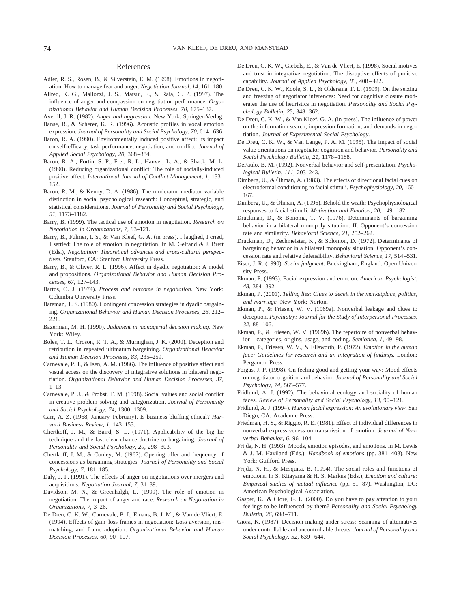#### References

- Adler, R. S., Rosen, B., & Silverstein, E. M. (1998). Emotions in negotiation: How to manage fear and anger. *Negotiation Journal, 14,* 161–180.
- Allred, K. G., Mallozzi, J. S., Matsui, F., & Raia, C. P. (1997). The influence of anger and compassion on negotiation performance. *Organizational Behavior and Human Decision Processes, 70,* 175–187.
- Averill, J. R. (1982). *Anger and aggression.* New York: Springer-Verlag. Banse, R., & Scherer, K. R. (1996). Acoustic profiles in vocal emotion
- expression. *Journal of Personality and Social Psychology, 70,* 614–636. Baron, R. A. (1990). Environmentally induced positive affect: Its impact
- on self-efficacy, task performance, negotiation, and conflict. *Journal of Applied Social Psychology, 20,* 368–384.
- Baron, R. A., Fortin, S. P., Frei, R. L., Hauver, L. A., & Shack, M. L. (1990). Reducing organizational conflict: The role of socially-induced positive affect. *International Journal of Conflict Management, 1,* 133– 152.
- Baron, R. M., & Kenny, D. A. (1986). The moderator–mediator variable distinction in social psychological research: Conceptual, strategic, and statistical considerations. *Journal of Personality and Social Psychology, 51,* 1173–1182.
- Barry, B. (1999). The tactical use of emotion in negotiation. *Research on Negotiation in Organizations, 7,* 93–121.
- Barry, B., Fulmer, I. S., & Van Kleef, G. A. (in press). I laughed, I cried, I settled: The role of emotion in negotiation. In M. Gelfand & J. Brett (Eds.), *Negotiation: Theoretical advances and cross-cultural perspectives.* Stanford, CA: Stanford University Press.
- Barry, B., & Oliver, R. L. (1996). Affect in dyadic negotiation: A model and propositions. *Organizational Behavior and Human Decision Processes, 67,* 127–143.
- Bartos, O. J. (1974). *Process and outcome in negotiation.* New York: Columbia University Press.
- Bateman, T. S. (1980). Contingent concession strategies in dyadic bargaining. *Organizational Behavior and Human Decision Processes, 26,* 212– 221.
- Bazerman, M. H. (1990). *Judgment in managerial decision making.* New York: Wiley.
- Boles, T. L., Croson, R. T. A., & Murnighan, J. K. (2000). Deception and retribution in repeated ultimatum bargaining. *Organizational Behavior and Human Decision Processes, 83,* 235–259.
- Carnevale, P. J., & Isen, A. M. (1986). The influence of positive affect and visual access on the discovery of integrative solutions in bilateral negotiation. *Organizational Behavior and Human Decision Processes, 37,* 1–13.
- Carnevale, P. J., & Probst, T. M. (1998). Social values and social conflict in creative problem solving and categorization. *Journal of Personality and Social Psychology, 74,* 1300–1309.
- Carr, A. Z. (1968, January–February). Is business bluffing ethical? *Harvard Business Review, 1,* 143–153.
- Chertkoff, J. M., & Baird, S. L. (1971). Applicability of the big lie technique and the last clear chance doctrine to bargaining. *Journal of Personality and Social Psychology, 20,* 298–303.
- Chertkoff, J. M., & Conley, M. (1967). Opening offer and frequency of concessions as bargaining strategies. *Journal of Personality and Social Psychology, 7,* 181–185.
- Daly, J. P. (1991). The effects of anger on negotiations over mergers and acquisitions. *Negotiation Journal, 7,* 31–39.
- Davidson, M. N., & Greenhalgh, L. (1999). The role of emotion in negotiation: The impact of anger and race. *Research on Negotiation in Organizations, 7,* 3–26.
- De Dreu, C. K. W., Carnevale, P. J., Emans, B. J. M., & Van de Vliert, E. (1994). Effects of gain–loss frames in negotiation: Loss aversion, mismatching, and frame adoption. *Organizational Behavior and Human Decision Processes, 60,* 90–107.
- De Dreu, C. K. W., Giebels, E., & Van de Vliert, E. (1998). Social motives and trust in integrative negotiation: The disruptive effects of punitive capability. *Journal of Applied Psychology, 83,* 408–422.
- De Dreu, C. K. W., Koole, S. L., & Oldersma, F. L. (1999). On the seizing and freezing of negotiator inferences: Need for cognitive closure moderates the use of heuristics in negotiation. *Personality and Social Psychology Bulletin, 25,* 348–362.
- De Dreu, C. K. W., & Van Kleef, G. A. (in press). The influence of power on the information search, impression formation, and demands in negotiation. *Journal of Experimental Social Psychology.*
- De Dreu, C. K. W., & Van Lange, P. A. M. (1995). The impact of social value orientations on negotiator cognition and behavior. *Personality and Social Psychology Bulletin, 21,* 1178–1188.
- DePaulo, B. M. (1992). Nonverbal behavior and self-presentation. *Psychological Bulletin, 111,* 203–243.
- Dimberg, U., & Öhman, A. (1983). The effects of directional facial cues on electrodermal conditioning to facial stimuli. *Psychophysiology, 20,* 160– 167.
- Dimberg, U., & Öhman, A. (1996). Behold the wrath: Psychophysiological responses to facial stimuli. *Motivation and Emotion, 20,* 149–182.
- Druckman, D., & Bonoma, T. V. (1976). Determinants of bargaining behavior in a bilateral monopoly situation: II. Opponent's concession rate and similarity. *Behavioral Science, 21,* 252–262.
- Druckman, D., Zechmeister, K., & Solomon, D. (1972). Determinants of bargaining behavior in a bilateral monopoly situation: Opponent's concession rate and relative defensibility. *Behavioral Science, 17,* 514–531.
- Eiser, J. R. (1990). *Social judgment.* Buckingham, England: Open University Press.
- Ekman, P. (1993). Facial expression and emotion. *American Psychologist, 48,* 384–392.
- Ekman, P. (2001). *Telling lies: Clues to deceit in the marketplace, politics, and marriage.* New York: Norton.
- Ekman, P., & Friesen, W. V. (1969a). Nonverbal leakage and clues to deception. *Psychiatry: Journal for the Study of Interpersonal Processes, 32,* 88–106.
- Ekman, P., & Friesen, W. V. (1969b). The repertoire of nonverbal behavior—categories, origins, usage, and coding. *Semiotica, 1,* 49–98.
- Ekman, P., Friesen, W. V., & Ellsworth, P. (1972). *Emotion in the human face: Guidelines for research and an integration of findings.* London: Pergamon Press.
- Forgas, J. P. (1998). On feeling good and getting your way: Mood effects on negotiator cognition and behavior. *Journal of Personality and Social Psychology, 74,* 565–577.
- Fridlund, A. J. (1992). The behavioral ecology and sociality of human faces. *Review of Personality and Social Psychology, 13,* 90–121.
- Fridlund, A. J. (1994). *Human facial expression: An evolutionary view.* San Diego, CA: Academic Press.
- Friedman, H. S., & Riggio, R. E. (1981). Effect of individual differences in nonverbal expressiveness on transmission of emotion. *Journal of Nonverbal Behavior, 6,* 96–104.
- Frijda, N. H. (1993). Moods, emotion episodes, and emotions. In M. Lewis & J. M. Haviland (Eds.), *Handbook of emotions* (pp. 381–403). New York: Guilford Press.
- Frijda, N. H., & Mesquita, B. (1994). The social roles and functions of emotions. In S. Kitayama & H. S. Markus (Eds.), *Emotion and culture: Empirical studies of mutual influence* (pp. 51–87). Washington, DC: American Psychological Association.
- Gasper, K., & Clore, G. L. (2000). Do you have to pay attention to your feelings to be influenced by them? *Personality and Social Psychology Bulletin, 26,* 698–711.
- Giora, K. (1987). Decision making under stress: Scanning of alternatives under controllable and uncontrollable threats. *Journal of Personality and Social Psychology, 52,* 639–644.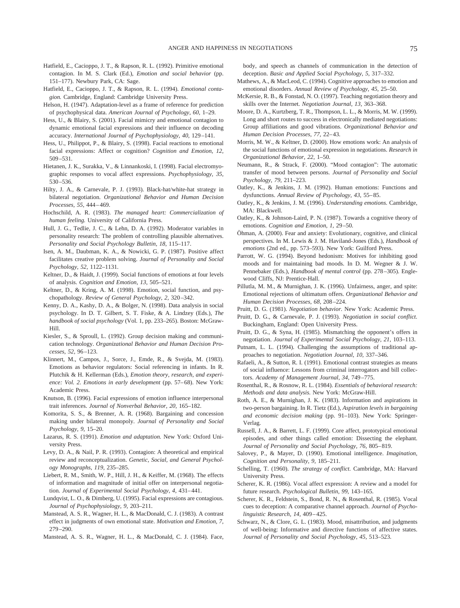- Hatfield, E., Cacioppo, J. T., & Rapson, R. L. (1992). Primitive emotional contagion. In M. S. Clark (Ed.), *Emotion and social behavior* (pp. 151–177). Newbury Park, CA: Sage.
- Hatfield, E., Cacioppo, J. T., & Rapson, R. L. (1994). *Emotional contagion.* Cambridge, England: Cambridge University Press.
- Helson, H. (1947). Adaptation-level as a frame of reference for prediction of psychophysical data. *American Journal of Psychology, 60,* 1–29.
- Hess, U., & Blairy, S. (2001). Facial mimicry and emotional contagion to dynamic emotional facial expressions and their influence on decoding accuracy. *International Journal of Psychophysiology, 40,* 129–141.
- Hess, U., Philippot, P., & Blairy, S. (1998). Facial reactions to emotional facial expressions: Affect or cognition? *Cognition and Emotion, 12,* 509–531.
- Hietanen, J. K., Surakka, V., & Linnankoski, I. (1998). Facial electromyographic responses to vocal affect expressions. *Psychophysiology, 35,* 530–536.
- Hilty, J. A., & Carnevale, P. J. (1993). Black-hat/white-hat strategy in bilateral negotiation. *Organizational Behavior and Human Decision Processes, 55,* 444–469.
- Hochschild, A. R. (1983). *The managed heart: Commercialization of human feeling.* University of California Press.
- Hull, J. G., Tedlie, J. C., & Lehn, D. A. (1992). Moderator variables in personality research: The problem of controlling plausible alternatives. *Personality and Social Psychology Bulletin, 18,* 115–117.
- Isen, A. M., Daubman, K. A., & Nowicki, G. P. (1987). Positive affect facilitates creative problem solving. *Journal of Personality and Social Psychology, 52,* 1122–1131.
- Keltner, D., & Haidt, J. (1999). Social functions of emotions at four levels of analysis. *Cognition and Emotion, 13,* 505–521.
- Keltner, D., & Kring, A. M. (1998). Emotion, social function, and psychopathology. *Review of General Psychology, 2,* 320–342.
- Kenny, D. A., Kashy, D. A., & Bolger, N. (1998). Data analysis in social psychology. In D. T. Gilbert, S. T. Fiske, & A. Lindzey (Eds.), *The handbook of social psychology* (Vol. 1, pp. 233–265). Boston: McGraw-Hill.
- Kiesler, S., & Sproull, L. (1992). Group decision making and communication technology. *Organizational Behavior and Human Decision Processes, 52,* 96–123.
- Klinnert, M., Campos, J., Sorce, J., Emde, R., & Svejda, M. (1983). Emotions as behavior regulators: Social referencing in infants. In R. Plutchik & H. Kellerman (Eds.), *Emotion theory, research, and experience: Vol. 2. Emotions in early development* (pp. 57–68). New York: Academic Press.
- Knutson, B. (1996). Facial expressions of emotion influence interpersonal trait inferences. *Journal of Nonverbal Behavior, 20,* 165–182.
- Komorita, S. S., & Brenner, A. R. (1968). Bargaining and concession making under bilateral monopoly. *Journal of Personality and Social Psychology, 9,* 15–20.
- Lazarus, R. S. (1991). *Emotion and adaptation.* New York: Oxford University Press.
- Levy, D. A., & Nail, P. R. (1993). Contagion: A theoretical and empirical review and reconceptualization. *Genetic, Social, and General Psychology Monographs, 119,* 235–285.
- Liebert, R. M., Smith, W. P., Hill, J. H., & Keiffer, M. (1968). The effects of information and magnitude of initial offer on interpersonal negotiation. *Journal of Experimental Social Psychology, 4,* 431–441.
- Lundqvist, L. O., & Dimberg, U. (1995). Facial expressions are contagious. *Journal of Psychophysiology, 9,* 203–211.
- Manstead, A. S. R., Wagner, H. L., & MacDonald, C. J. (1983). A contrast effect in judgments of own emotional state. *Motivation and Emotion, 7,* 279–290.
- Manstead, A. S. R., Wagner, H. L., & MacDonald, C. J. (1984). Face,

body, and speech as channels of communication in the detection of deception. *Basic and Applied Social Psychology, 5,* 317–332.

- Mathews, A., & MacLeod, C. (1994). Cognitive approaches to emotion and emotional disorders. *Annual Review of Psychology, 45,* 25–50.
- McKersie, R. B., & Fonstad, N. O. (1997). Teaching negotiation theory and skills over the Internet. *Negotiation Journal, 13,* 363–368.
- Moore, D. A., Kurtzberg, T. R., Thompson, L. L., & Morris, M. W. (1999). Long and short routes to success in electronically mediated negotiations: Group affiliations and good vibrations. *Organizational Behavior and Human Decision Processes, 77,* 22–43.
- Morris, M. W., & Keltner, D. (2000). How emotions work: An analysis of the social functions of emotional expression in negotiations. *Research in Organizational Behavior, 22,* 1–50.
- Neumann, R., & Strack, F. (2000). "Mood contagion": The automatic transfer of mood between persons. *Journal of Personality and Social Psychology, 79,* 211–223.
- Oatley, K., & Jenkins, J. M. (1992). Human emotions: Functions and dysfunctions. *Annual Review of Psychology, 43,* 55–85.
- Oatley, K., & Jenkins, J. M. (1996). *Understanding emotions.* Cambridge, MA: Blackwell.
- Oatley, K., & Johnson-Laird, P. N. (1987). Towards a cognitive theory of emotions. *Cognition and Emotion, 1,* 29–50.
- Öhman, A. (2000). Fear and anxiety: Evolutionary, cognitive, and clinical perspectives. In M. Lewis & J. M. Haviland-Jones (Eds.), *Handbook of emotions* (2nd ed., pp. 573–593). New York: Guilford Press.
- Parrott, W. G. (1994). Beyond hedonism: Motives for inhibiting good moods and for maintaining bad moods. In D. M. Wegner & J. W. Pennebaker (Eds.), *Handbook of mental control* (pp. 278–305). Englewood Cliffs, NJ: Prentice-Hall.
- Pillutla, M. M., & Murnighan, J. K. (1996). Unfairness, anger, and spite: Emotional rejections of ultimatum offers. *Organizational Behavior and Human Decision Processes, 68,* 208–224.
- Pruitt, D. G. (1981). *Negotiation behavior.* New York: Academic Press.
- Pruitt, D. G., & Carnevale, P. J. (1993). *Negotiation in social conflict.* Buckingham, England: Open University Press.
- Pruitt, D. G., & Syna, H. (1985). Mismatching the opponent's offers in negotiation. *Journal of Experimental Social Psychology, 21,* 103–113.
- Putnam, L. L. (1994). Challenging the assumptions of traditional approaches to negotiation. *Negotiation Journal, 10,* 337–346.
- Rafaeli, A., & Sutton, R. I. (1991). Emotional contrast strategies as means of social influence: Lessons from criminal interrogators and bill collectors. *Academy of Management Journal, 34,* 749–775.
- Rosenthal, R., & Rosnow, R. L. (1984). *Essentials of behavioral research: Methods and data analysis.* New York: McGraw-Hill.
- Roth, A. E., & Murnighan, J. K. (1983). Information and aspirations in two-person bargaining. In R. Tietz (Ed.), *Aspiration levels in bargaining and economic decision making* (pp. 91–103). New York: Springer-Verlag.
- Russell, J. A., & Barrett, L. F. (1999). Core affect, prototypical emotional episodes, and other things called emotion: Dissecting the elephant. *Journal of Personality and Social Psychology, 76,* 805–819.
- Salovey, P., & Mayer, D. (1990). Emotional intelligence. *Imagination, Cognition and Personality, 9,* 185–211.
- Schelling, T. (1960). *The strategy of conflict.* Cambridge, MA: Harvard University Press.
- Scherer, K. R. (1986). Vocal affect expression: A review and a model for future research. *Psychological Bulletin, 99,* 143–165.
- Scherer, K. R., Feldstein, S., Bond, R. N., & Rosenthal, R. (1985). Vocal cues to deception: A comparative channel approach. *Journal of Psycholinguistic Research, 14,* 409–425.
- Schwarz, N., & Clore, G. L. (1983). Mood, misattribution, and judgments of well-being: Informative and directive functions of affective states. *Journal of Personality and Social Psychology, 45,* 513–523.